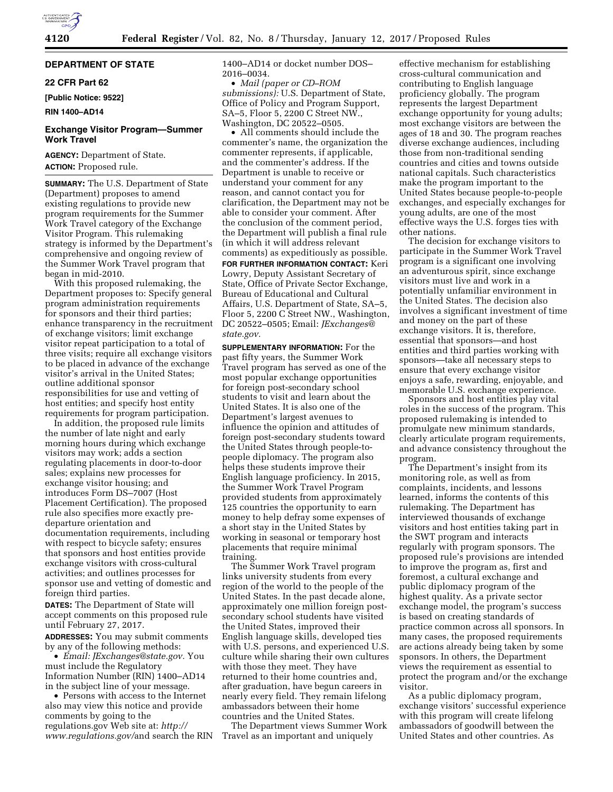# **DEPARTMENT OF STATE**

### **22 CFR Part 62**

**[Public Notice: 9522]** 

### **RIN 1400–AD14**

## **Exchange Visitor Program—Summer Work Travel**

**AGENCY:** Department of State. **ACTION:** Proposed rule.

**SUMMARY:** The U.S. Department of State (Department) proposes to amend existing regulations to provide new program requirements for the Summer Work Travel category of the Exchange Visitor Program. This rulemaking strategy is informed by the Department's comprehensive and ongoing review of the Summer Work Travel program that began in mid-2010.

With this proposed rulemaking, the Department proposes to: Specify general program administration requirements for sponsors and their third parties; enhance transparency in the recruitment of exchange visitors; limit exchange visitor repeat participation to a total of three visits; require all exchange visitors to be placed in advance of the exchange visitor's arrival in the United States; outline additional sponsor responsibilities for use and vetting of host entities; and specify host entity requirements for program participation.

In addition, the proposed rule limits the number of late night and early morning hours during which exchange visitors may work; adds a section regulating placements in door-to-door sales; explains new processes for exchange visitor housing; and introduces Form DS–7007 (Host Placement Certification). The proposed rule also specifies more exactly predeparture orientation and documentation requirements, including with respect to bicycle safety; ensures that sponsors and host entities provide exchange visitors with cross-cultural activities; and outlines processes for sponsor use and vetting of domestic and foreign third parties.

**DATES:** The Department of State will accept comments on this proposed rule until February 27, 2017.

**ADDRESSES:** You may submit comments by any of the following methods:

• *Email: [JExchanges@state.gov.](mailto:JExchanges@state.gov)* You must include the Regulatory Information Number (RIN) 1400–AD14 in the subject line of your message.

• Persons with access to the Internet also may view this notice and provide comments by going to the regulations.gov Web site at: *[http://](http://www.regulations.gov) [www.regulations.gov/](http://www.regulations.gov)*and search the RIN 1400–AD14 or docket number DOS– 2016–0034.

• *Mail (paper or CD–ROM submissions):* U.S. Department of State, Office of Policy and Program Support, SA–5, Floor 5, 2200 C Street NW., Washington, DC 20522–0505.

• All comments should include the commenter's name, the organization the commenter represents, if applicable, and the commenter's address. If the Department is unable to receive or understand your comment for any reason, and cannot contact you for clarification, the Department may not be able to consider your comment. After the conclusion of the comment period, the Department will publish a final rule (in which it will address relevant comments) as expeditiously as possible. **FOR FURTHER INFORMATION CONTACT:** Keri Lowry, Deputy Assistant Secretary of State, Office of Private Sector Exchange, Bureau of Educational and Cultural Affairs, U.S. Department of State, SA–5, Floor 5, 2200 C Street NW., Washington, DC 20522–0505; Email: *[JExchanges@](mailto:JExchanges@state.gov) [state.gov.](mailto:JExchanges@state.gov)* 

**SUPPLEMENTARY INFORMATION:** For the past fifty years, the Summer Work Travel program has served as one of the most popular exchange opportunities for foreign post-secondary school students to visit and learn about the United States. It is also one of the Department's largest avenues to influence the opinion and attitudes of foreign post-secondary students toward the United States through people-topeople diplomacy. The program also helps these students improve their English language proficiency. In 2015, the Summer Work Travel Program provided students from approximately 125 countries the opportunity to earn money to help defray some expenses of a short stay in the United States by working in seasonal or temporary host placements that require minimal training.

The Summer Work Travel program links university students from every region of the world to the people of the United States. In the past decade alone, approximately one million foreign postsecondary school students have visited the United States, improved their English language skills, developed ties with U.S. persons, and experienced U.S. culture while sharing their own cultures with those they meet. They have returned to their home countries and, after graduation, have begun careers in nearly every field. They remain lifelong ambassadors between their home countries and the United States.

The Department views Summer Work Travel as an important and uniquely

effective mechanism for establishing cross-cultural communication and contributing to English language proficiency globally. The program represents the largest Department exchange opportunity for young adults; most exchange visitors are between the ages of 18 and 30. The program reaches diverse exchange audiences, including those from non-traditional sending countries and cities and towns outside national capitals. Such characteristics make the program important to the United States because people-to-people exchanges, and especially exchanges for young adults, are one of the most effective ways the U.S. forges ties with other nations.

The decision for exchange visitors to participate in the Summer Work Travel program is a significant one involving an adventurous spirit, since exchange visitors must live and work in a potentially unfamiliar environment in the United States. The decision also involves a significant investment of time and money on the part of these exchange visitors. It is, therefore, essential that sponsors—and host entities and third parties working with sponsors—take all necessary steps to ensure that every exchange visitor enjoys a safe, rewarding, enjoyable, and memorable U.S. exchange experience.

Sponsors and host entities play vital roles in the success of the program. This proposed rulemaking is intended to promulgate new minimum standards, clearly articulate program requirements, and advance consistency throughout the program.

The Department's insight from its monitoring role, as well as from complaints, incidents, and lessons learned, informs the contents of this rulemaking. The Department has interviewed thousands of exchange visitors and host entities taking part in the SWT program and interacts regularly with program sponsors. The proposed rule's provisions are intended to improve the program as, first and foremost, a cultural exchange and public diplomacy program of the highest quality. As a private sector exchange model, the program's success is based on creating standards of practice common across all sponsors. In many cases, the proposed requirements are actions already being taken by some sponsors. In others, the Department views the requirement as essential to protect the program and/or the exchange visitor.

As a public diplomacy program, exchange visitors' successful experience with this program will create lifelong ambassadors of goodwill between the United States and other countries. As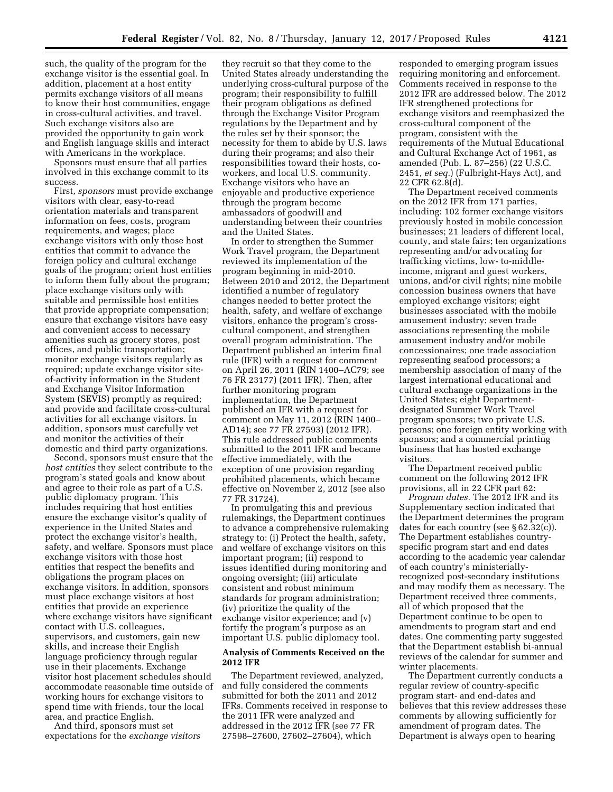such, the quality of the program for the exchange visitor is the essential goal. In addition, placement at a host entity permits exchange visitors of all means to know their host communities, engage in cross-cultural activities, and travel. Such exchange visitors also are provided the opportunity to gain work and English language skills and interact with Americans in the workplace.

Sponsors must ensure that all parties involved in this exchange commit to its success.

First, *sponsors* must provide exchange visitors with clear, easy-to-read orientation materials and transparent information on fees, costs, program requirements, and wages; place exchange visitors with only those host entities that commit to advance the foreign policy and cultural exchange goals of the program; orient host entities to inform them fully about the program; place exchange visitors only with suitable and permissible host entities that provide appropriate compensation; ensure that exchange visitors have easy and convenient access to necessary amenities such as grocery stores, post offices, and public transportation; monitor exchange visitors regularly as required; update exchange visitor siteof-activity information in the Student and Exchange Visitor Information System (SEVIS) promptly as required; and provide and facilitate cross-cultural activities for all exchange visitors. In addition, sponsors must carefully vet and monitor the activities of their domestic and third party organizations.

Second, sponsors must ensure that the *host entities* they select contribute to the program's stated goals and know about and agree to their role as part of a U.S. public diplomacy program. This includes requiring that host entities ensure the exchange visitor's quality of experience in the United States and protect the exchange visitor's health, safety, and welfare. Sponsors must place exchange visitors with those host entities that respect the benefits and obligations the program places on exchange visitors. In addition, sponsors must place exchange visitors at host entities that provide an experience where exchange visitors have significant contact with U.S. colleagues, supervisors, and customers, gain new skills, and increase their English language proficiency through regular use in their placements. Exchange visitor host placement schedules should accommodate reasonable time outside of working hours for exchange visitors to spend time with friends, tour the local area, and practice English.

And third, sponsors must set expectations for the *exchange visitors* 

they recruit so that they come to the United States already understanding the underlying cross-cultural purpose of the program; their responsibility to fulfill their program obligations as defined through the Exchange Visitor Program regulations by the Department and by the rules set by their sponsor; the necessity for them to abide by U.S. laws during their programs; and also their responsibilities toward their hosts, coworkers, and local U.S. community. Exchange visitors who have an enjoyable and productive experience through the program become ambassadors of goodwill and understanding between their countries and the United States.

In order to strengthen the Summer Work Travel program, the Department reviewed its implementation of the program beginning in mid-2010. Between 2010 and 2012, the Department identified a number of regulatory changes needed to better protect the health, safety, and welfare of exchange visitors, enhance the program's crosscultural component, and strengthen overall program administration. The Department published an interim final rule (IFR) with a request for comment on April 26, 2011 (RIN 1400–AC79; see 76 FR 23177) (2011 IFR). Then, after further monitoring program implementation, the Department published an IFR with a request for comment on May 11, 2012 (RIN 1400– AD14); see 77 FR 27593) (2012 IFR). This rule addressed public comments submitted to the 2011 IFR and became effective immediately, with the exception of one provision regarding prohibited placements, which became effective on November 2, 2012 (see also 77 FR 31724).

In promulgating this and previous rulemakings, the Department continues to advance a comprehensive rulemaking strategy to: (i) Protect the health, safety, and welfare of exchange visitors on this important program; (ii) respond to issues identified during monitoring and ongoing oversight; (iii) articulate consistent and robust minimum standards for program administration; (iv) prioritize the quality of the exchange visitor experience; and (v) fortify the program's purpose as an important U.S. public diplomacy tool.

# **Analysis of Comments Received on the 2012 IFR**

The Department reviewed, analyzed, and fully considered the comments submitted for both the 2011 and 2012 IFRs. Comments received in response to the 2011 IFR were analyzed and addressed in the 2012 IFR (see 77 FR 27598–27600, 27602–27604), which

responded to emerging program issues requiring monitoring and enforcement. Comments received in response to the 2012 IFR are addressed below. The 2012 IFR strengthened protections for exchange visitors and reemphasized the cross-cultural component of the program, consistent with the requirements of the Mutual Educational and Cultural Exchange Act of 1961, as amended (Pub. L. 87–256) (22 U.S.C. 2451, *et seq.*) (Fulbright-Hays Act), and 22 CFR 62.8(d).

The Department received comments on the 2012 IFR from 171 parties, including: 102 former exchange visitors previously hosted in mobile concession businesses; 21 leaders of different local, county, and state fairs; ten organizations representing and/or advocating for trafficking victims, low- to-middleincome, migrant and guest workers, unions, and/or civil rights; nine mobile concession business owners that have employed exchange visitors; eight businesses associated with the mobile amusement industry; seven trade associations representing the mobile amusement industry and/or mobile concessionaires; one trade association representing seafood processors; a membership association of many of the largest international educational and cultural exchange organizations in the United States; eight Departmentdesignated Summer Work Travel program sponsors; two private U.S. persons; one foreign entity working with sponsors; and a commercial printing business that has hosted exchange visitors.

The Department received public comment on the following 2012 IFR provisions, all in 22 CFR part 62:

*Program dates.* The 2012 IFR and its Supplementary section indicated that the Department determines the program dates for each country (see § 62.32(c)). The Department establishes countryspecific program start and end dates according to the academic year calendar of each country's ministeriallyrecognized post-secondary institutions and may modify them as necessary. The Department received three comments, all of which proposed that the Department continue to be open to amendments to program start and end dates. One commenting party suggested that the Department establish bi-annual reviews of the calendar for summer and winter placements.

The Department currently conducts a regular review of country-specific program start- and end-dates and believes that this review addresses these comments by allowing sufficiently for amendment of program dates. The Department is always open to hearing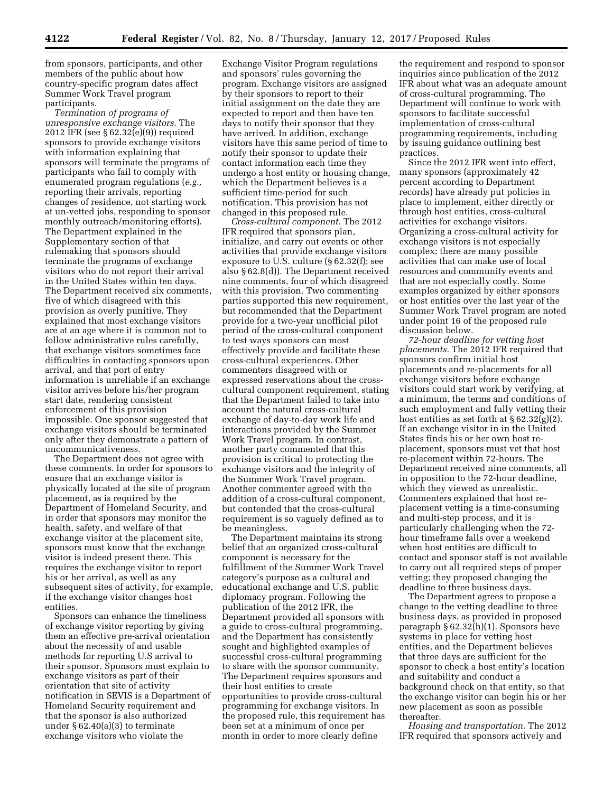from sponsors, participants, and other members of the public about how country-specific program dates affect Summer Work Travel program participants.

*Termination of programs of unresponsive exchange visitors.* The 2012 IFR (see § 62.32(e)(9)) required sponsors to provide exchange visitors with information explaining that sponsors will terminate the programs of participants who fail to comply with enumerated program regulations (*e.g.,*  reporting their arrivals, reporting changes of residence, not starting work at un-vetted jobs, responding to sponsor monthly outreach/monitoring efforts). The Department explained in the Supplementary section of that rulemaking that sponsors should terminate the programs of exchange visitors who do not report their arrival in the United States within ten days. The Department received six comments, five of which disagreed with this provision as overly punitive. They explained that most exchange visitors are at an age where it is common not to follow administrative rules carefully, that exchange visitors sometimes face difficulties in contacting sponsors upon arrival, and that port of entry information is unreliable if an exchange visitor arrives before his/her program start date, rendering consistent enforcement of this provision impossible. One sponsor suggested that exchange visitors should be terminated only after they demonstrate a pattern of uncommunicativeness.

The Department does not agree with these comments. In order for sponsors to ensure that an exchange visitor is physically located at the site of program placement, as is required by the Department of Homeland Security, and in order that sponsors may monitor the health, safety, and welfare of that exchange visitor at the placement site, sponsors must know that the exchange visitor is indeed present there. This requires the exchange visitor to report his or her arrival, as well as any subsequent sites of activity, for example, if the exchange visitor changes host entities.

Sponsors can enhance the timeliness of exchange visitor reporting by giving them an effective pre-arrival orientation about the necessity of and usable methods for reporting U.S arrival to their sponsor. Sponsors must explain to exchange visitors as part of their orientation that site of activity notification in SEVIS is a Department of Homeland Security requirement and that the sponsor is also authorized under § 62.40(a)(3) to terminate exchange visitors who violate the

Exchange Visitor Program regulations and sponsors' rules governing the program. Exchange visitors are assigned by their sponsors to report to their initial assignment on the date they are expected to report and then have ten days to notify their sponsor that they have arrived. In addition, exchange visitors have this same period of time to notify their sponsor to update their contact information each time they undergo a host entity or housing change, which the Department believes is a sufficient time-period for such notification. This provision has not changed in this proposed rule.

*Cross-cultural component.* The 2012 IFR required that sponsors plan, initialize, and carry out events or other activities that provide exchange visitors exposure to U.S. culture (§ 62.32(f); see also § 62.8(d)). The Department received nine comments, four of which disagreed with this provision. Two commenting parties supported this new requirement, but recommended that the Department provide for a two-year unofficial pilot period of the cross-cultural component to test ways sponsors can most effectively provide and facilitate these cross-cultural experiences. Other commenters disagreed with or expressed reservations about the crosscultural component requirement, stating that the Department failed to take into account the natural cross-cultural exchange of day-to-day work life and interactions provided by the Summer Work Travel program. In contrast, another party commented that this provision is critical to protecting the exchange visitors and the integrity of the Summer Work Travel program. Another commenter agreed with the addition of a cross-cultural component, but contended that the cross-cultural requirement is so vaguely defined as to be meaningless.

The Department maintains its strong belief that an organized cross-cultural component is necessary for the fulfillment of the Summer Work Travel category's purpose as a cultural and educational exchange and U.S. public diplomacy program. Following the publication of the 2012 IFR, the Department provided all sponsors with a guide to cross-cultural programming, and the Department has consistently sought and highlighted examples of successful cross-cultural programming to share with the sponsor community. The Department requires sponsors and their host entities to create opportunities to provide cross-cultural programming for exchange visitors. In the proposed rule, this requirement has been set at a minimum of once per month in order to more clearly define

the requirement and respond to sponsor inquiries since publication of the 2012 IFR about what was an adequate amount of cross-cultural programming. The Department will continue to work with sponsors to facilitate successful implementation of cross-cultural programming requirements, including by issuing guidance outlining best practices.

Since the 2012 IFR went into effect, many sponsors (approximately 42 percent according to Department records) have already put policies in place to implement, either directly or through host entities, cross-cultural activities for exchange visitors. Organizing a cross-cultural activity for exchange visitors is not especially complex; there are many possible activities that can make use of local resources and community events and that are not especially costly. Some examples organized by either sponsors or host entities over the last year of the Summer Work Travel program are noted under point 16 of the proposed rule discussion below.

*72-hour deadline for vetting host placements.* The 2012 IFR required that sponsors confirm initial host placements and re-placements for all exchange visitors before exchange visitors could start work by verifying, at a minimum, the terms and conditions of such employment and fully vetting their host entities as set forth at  $\S 62.32(g)(2)$ . If an exchange visitor in in the United States finds his or her own host replacement, sponsors must vet that host re-placement within 72-hours. The Department received nine comments, all in opposition to the 72-hour deadline, which they viewed as unrealistic. Commenters explained that host replacement vetting is a time-consuming and multi-step process, and it is particularly challenging when the 72 hour timeframe falls over a weekend when host entities are difficult to contact and sponsor staff is not available to carry out all required steps of proper vetting; they proposed changing the deadline to three business days.

The Department agrees to propose a change to the vetting deadline to three business days, as provided in proposed paragraph § 62.32(h)(1). Sponsors have systems in place for vetting host entities, and the Department believes that three days are sufficient for the sponsor to check a host entity's location and suitability and conduct a background check on that entity, so that the exchange visitor can begin his or her new placement as soon as possible thereafter.

*Housing and transportation.* The 2012 IFR required that sponsors actively and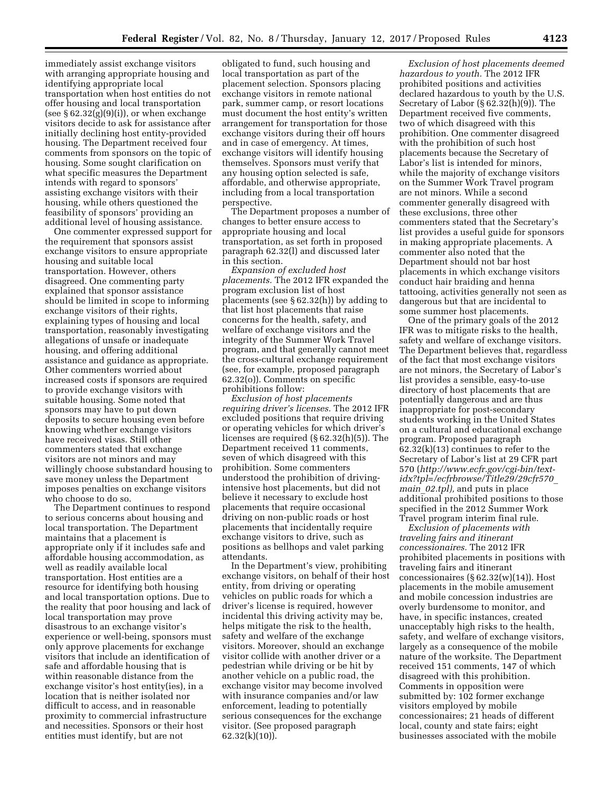immediately assist exchange visitors with arranging appropriate housing and identifying appropriate local transportation when host entities do not offer housing and local transportation (see  $\S 62.32(g)(9)(i)$ ), or when exchange visitors decide to ask for assistance after initially declining host entity-provided housing. The Department received four comments from sponsors on the topic of housing. Some sought clarification on what specific measures the Department intends with regard to sponsors' assisting exchange visitors with their housing, while others questioned the feasibility of sponsors' providing an additional level of housing assistance.

One commenter expressed support for the requirement that sponsors assist exchange visitors to ensure appropriate housing and suitable local transportation. However, others disagreed. One commenting party explained that sponsor assistance should be limited in scope to informing exchange visitors of their rights, explaining types of housing and local transportation, reasonably investigating allegations of unsafe or inadequate housing, and offering additional assistance and guidance as appropriate. Other commenters worried about increased costs if sponsors are required to provide exchange visitors with suitable housing. Some noted that sponsors may have to put down deposits to secure housing even before knowing whether exchange visitors have received visas. Still other commenters stated that exchange visitors are not minors and may willingly choose substandard housing to save money unless the Department imposes penalties on exchange visitors who choose to do so.

The Department continues to respond to serious concerns about housing and local transportation. The Department maintains that a placement is appropriate only if it includes safe and affordable housing accommodation, as well as readily available local transportation. Host entities are a resource for identifying both housing and local transportation options. Due to the reality that poor housing and lack of local transportation may prove disastrous to an exchange visitor's experience or well-being, sponsors must only approve placements for exchange visitors that include an identification of safe and affordable housing that is within reasonable distance from the exchange visitor's host entity(ies), in a location that is neither isolated nor difficult to access, and in reasonable proximity to commercial infrastructure and necessities. Sponsors or their host entities must identify, but are not

obligated to fund, such housing and local transportation as part of the placement selection. Sponsors placing exchange visitors in remote national park, summer camp, or resort locations must document the host entity's written arrangement for transportation for those exchange visitors during their off hours and in case of emergency. At times, exchange visitors will identify housing themselves. Sponsors must verify that any housing option selected is safe, affordable, and otherwise appropriate, including from a local transportation perspective.

The Department proposes a number of changes to better ensure access to appropriate housing and local transportation, as set forth in proposed paragraph 62.32(l) and discussed later in this section.

*Expansion of excluded host placements.* The 2012 IFR expanded the program exclusion list of host placements (see § 62.32(h)) by adding to that list host placements that raise concerns for the health, safety, and welfare of exchange visitors and the integrity of the Summer Work Travel program, and that generally cannot meet the cross-cultural exchange requirement (see, for example, proposed paragraph 62.32(o)). Comments on specific prohibitions follow:

*Exclusion of host placements requiring driver's licenses.* The 2012 IFR excluded positions that require driving or operating vehicles for which driver's licenses are required (§ 62.32(h)(5)). The Department received 11 comments, seven of which disagreed with this prohibition. Some commenters understood the prohibition of drivingintensive host placements, but did not believe it necessary to exclude host placements that require occasional driving on non-public roads or host placements that incidentally require exchange visitors to drive, such as positions as bellhops and valet parking attendants.

In the Department's view, prohibiting exchange visitors, on behalf of their host entity, from driving or operating vehicles on public roads for which a driver's license is required, however incidental this driving activity may be, helps mitigate the risk to the health, safety and welfare of the exchange visitors. Moreover, should an exchange visitor collide with another driver or a pedestrian while driving or be hit by another vehicle on a public road, the exchange visitor may become involved with insurance companies and/or law enforcement, leading to potentially serious consequences for the exchange visitor. (See proposed paragraph 62.32(k)(10)).

*Exclusion of host placements deemed hazardous to youth.* The 2012 IFR prohibited positions and activities declared hazardous to youth by the U.S. Secretary of Labor  $(\S 62.32(h)(9))$ . The Department received five comments, two of which disagreed with this prohibition. One commenter disagreed with the prohibition of such host placements because the Secretary of Labor's list is intended for minors, while the majority of exchange visitors on the Summer Work Travel program are not minors. While a second commenter generally disagreed with these exclusions, three other commenters stated that the Secretary's list provides a useful guide for sponsors in making appropriate placements. A commenter also noted that the Department should not bar host placements in which exchange visitors conduct hair braiding and henna tattooing, activities generally not seen as dangerous but that are incidental to some summer host placements.

One of the primary goals of the 2012 IFR was to mitigate risks to the health, safety and welfare of exchange visitors. The Department believes that, regardless of the fact that most exchange visitors are not minors, the Secretary of Labor's list provides a sensible, easy-to-use directory of host placements that are potentially dangerous and are thus inappropriate for post-secondary students working in the United States on a cultural and educational exchange program. Proposed paragraph 62.32(k)(13) continues to refer to the Secretary of Labor's list at 29 CFR part 570 (*[http://www.ecfr.gov/cgi-bin/text](http://www.ecfr.gov/cgi-bin/text-idx?tpl=/ecfrbrowse/Title29/29cfr570_main_02.tpl)[idx?tpl=/ecfrbrowse/Title29/29cfr570](http://www.ecfr.gov/cgi-bin/text-idx?tpl=/ecfrbrowse/Title29/29cfr570_main_02.tpl)*\_ *main*\_*[02.tpl\),](http://www.ecfr.gov/cgi-bin/text-idx?tpl=/ecfrbrowse/Title29/29cfr570_main_02.tpl)* and puts in place additional prohibited positions to those specified in the 2012 Summer Work Travel program interim final rule.

*Exclusion of placements with traveling fairs and itinerant concessionaires.* The 2012 IFR prohibited placements in positions with traveling fairs and itinerant concessionaires  $(\S 62.32(w)(14))$ . Host placements in the mobile amusement and mobile concession industries are overly burdensome to monitor, and have, in specific instances, created unacceptably high risks to the health, safety, and welfare of exchange visitors, largely as a consequence of the mobile nature of the worksite. The Department received 151 comments, 147 of which disagreed with this prohibition. Comments in opposition were submitted by: 102 former exchange visitors employed by mobile concessionaires; 21 heads of different local, county and state fairs; eight businesses associated with the mobile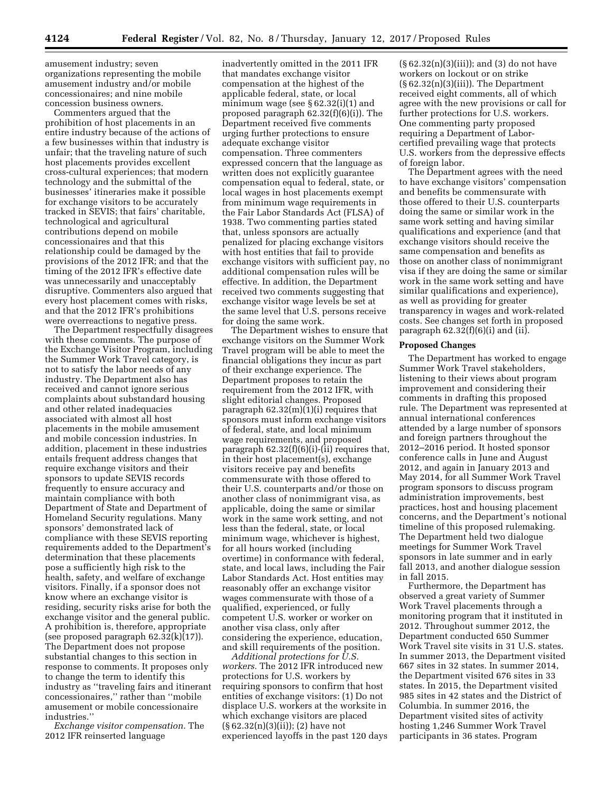amusement industry; seven organizations representing the mobile amusement industry and/or mobile concessionaires; and nine mobile concession business owners.

Commenters argued that the prohibition of host placements in an entire industry because of the actions of a few businesses within that industry is unfair; that the traveling nature of such host placements provides excellent cross-cultural experiences; that modern technology and the submittal of the businesses' itineraries make it possible for exchange visitors to be accurately tracked in SEVIS; that fairs' charitable, technological and agricultural contributions depend on mobile concessionaires and that this relationship could be damaged by the provisions of the 2012 IFR; and that the timing of the 2012 IFR's effective date was unnecessarily and unacceptably disruptive. Commenters also argued that every host placement comes with risks, and that the 2012 IFR's prohibitions were overreactions to negative press.

The Department respectfully disagrees with these comments. The purpose of the Exchange Visitor Program, including the Summer Work Travel category, is not to satisfy the labor needs of any industry. The Department also has received and cannot ignore serious complaints about substandard housing and other related inadequacies associated with almost all host placements in the mobile amusement and mobile concession industries. In addition, placement in these industries entails frequent address changes that require exchange visitors and their sponsors to update SEVIS records frequently to ensure accuracy and maintain compliance with both Department of State and Department of Homeland Security regulations. Many sponsors' demonstrated lack of compliance with these SEVIS reporting requirements added to the Department's determination that these placements pose a sufficiently high risk to the health, safety, and welfare of exchange visitors. Finally, if a sponsor does not know where an exchange visitor is residing, security risks arise for both the exchange visitor and the general public. A prohibition is, therefore, appropriate (see proposed paragraph 62.32(k)(17)). The Department does not propose substantial changes to this section in response to comments. It proposes only to change the term to identify this industry as ''traveling fairs and itinerant concessionaires,'' rather than ''mobile amusement or mobile concessionaire industries.''

*Exchange visitor compensation.* The 2012 IFR reinserted language

inadvertently omitted in the 2011 IFR that mandates exchange visitor compensation at the highest of the applicable federal, state, or local minimum wage (see  $\S 62.32(i)(1)$  and proposed paragraph 62.32(f)(6)(i)). The Department received five comments urging further protections to ensure adequate exchange visitor compensation. Three commenters expressed concern that the language as written does not explicitly guarantee compensation equal to federal, state, or local wages in host placements exempt from minimum wage requirements in the Fair Labor Standards Act (FLSA) of 1938. Two commenting parties stated that, unless sponsors are actually penalized for placing exchange visitors with host entities that fail to provide exchange visitors with sufficient pay, no additional compensation rules will be effective. In addition, the Department received two comments suggesting that exchange visitor wage levels be set at the same level that U.S. persons receive for doing the same work.

The Department wishes to ensure that exchange visitors on the Summer Work Travel program will be able to meet the financial obligations they incur as part of their exchange experience. The Department proposes to retain the requirement from the 2012 IFR, with slight editorial changes. Proposed paragraph 62.32(m)(1)(i) requires that sponsors must inform exchange visitors of federal, state, and local minimum wage requirements, and proposed paragraph 62.32(f)(6)(i)-(ii) requires that, in their host placement(s), exchange visitors receive pay and benefits commensurate with those offered to their U.S. counterparts and/or those on another class of nonimmigrant visa, as applicable, doing the same or similar work in the same work setting, and not less than the federal, state, or local minimum wage, whichever is highest, for all hours worked (including overtime) in conformance with federal, state, and local laws, including the Fair Labor Standards Act. Host entities may reasonably offer an exchange visitor wages commensurate with those of a qualified, experienced, or fully competent U.S. worker or worker on another visa class, only after considering the experience, education, and skill requirements of the position.

*Additional protections for U.S. workers.* The 2012 IFR introduced new protections for U.S. workers by requiring sponsors to confirm that host entities of exchange visitors: (1) Do not displace U.S. workers at the worksite in which exchange visitors are placed (§ 62.32(n)(3)(ii)); (2) have not experienced layoffs in the past 120 days

 $(\S 62.32(n)(3)(iii))$ ; and  $(3)$  do not have workers on lockout or on strike  $(\S 62.32(n)(3)(iii))$ . The Department received eight comments, all of which agree with the new provisions or call for further protections for U.S. workers. One commenting party proposed requiring a Department of Laborcertified prevailing wage that protects U.S. workers from the depressive effects of foreign labor.

The Department agrees with the need to have exchange visitors' compensation and benefits be commensurate with those offered to their U.S. counterparts doing the same or similar work in the same work setting and having similar qualifications and experience (and that exchange visitors should receive the same compensation and benefits as those on another class of nonimmigrant visa if they are doing the same or similar work in the same work setting and have similar qualifications and experience), as well as providing for greater transparency in wages and work-related costs. See changes set forth in proposed paragraph  $62.32(f)(6)(i)$  and (ii).

### **Proposed Changes**

The Department has worked to engage Summer Work Travel stakeholders, listening to their views about program improvement and considering their comments in drafting this proposed rule. The Department was represented at annual international conferences attended by a large number of sponsors and foreign partners throughout the 2012–2016 period. It hosted sponsor conference calls in June and August 2012, and again in January 2013 and May 2014, for all Summer Work Travel program sponsors to discuss program administration improvements, best practices, host and housing placement concerns, and the Department's notional timeline of this proposed rulemaking. The Department held two dialogue meetings for Summer Work Travel sponsors in late summer and in early fall 2013, and another dialogue session in fall 2015.

Furthermore, the Department has observed a great variety of Summer Work Travel placements through a monitoring program that it instituted in 2012. Throughout summer 2012, the Department conducted 650 Summer Work Travel site visits in 31 U.S. states. In summer 2013, the Department visited 667 sites in 32 states. In summer 2014, the Department visited 676 sites in 33 states. In 2015, the Department visited 985 sites in 42 states and the District of Columbia. In summer 2016, the Department visited sites of activity hosting 1,246 Summer Work Travel participants in 36 states. Program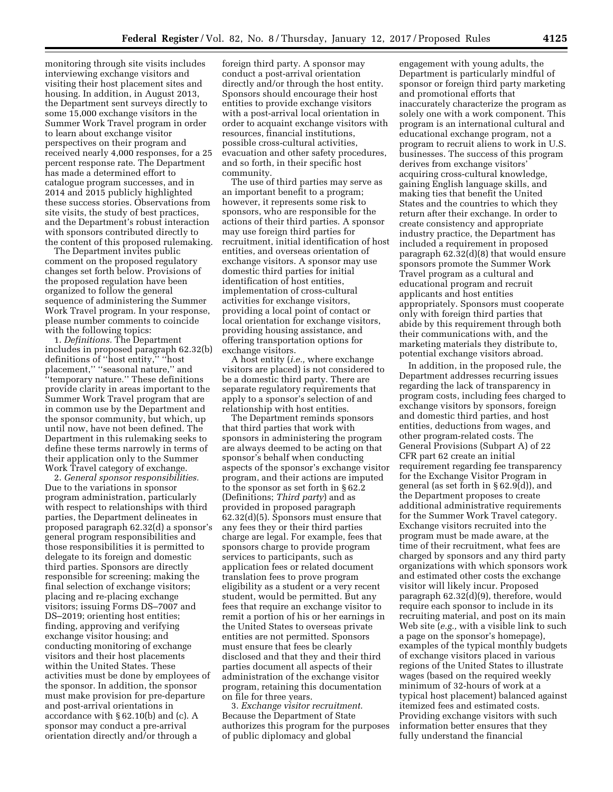monitoring through site visits includes interviewing exchange visitors and visiting their host placement sites and housing. In addition, in August 2013, the Department sent surveys directly to some 15,000 exchange visitors in the Summer Work Travel program in order to learn about exchange visitor perspectives on their program and received nearly 4,000 responses, for a 25 percent response rate. The Department has made a determined effort to catalogue program successes, and in 2014 and 2015 publicly highlighted these success stories. Observations from site visits, the study of best practices, and the Department's robust interaction with sponsors contributed directly to the content of this proposed rulemaking.

The Department invites public comment on the proposed regulatory changes set forth below. Provisions of the proposed regulation have been organized to follow the general sequence of administering the Summer Work Travel program. In your response, please number comments to coincide with the following topics:

1. *Definitions.* The Department includes in proposed paragraph 62.32(b) definitions of ''host entity,'' ''host placement,'' ''seasonal nature,'' and ''temporary nature.'' These definitions provide clarity in areas important to the Summer Work Travel program that are in common use by the Department and the sponsor community, but which, up until now, have not been defined. The Department in this rulemaking seeks to define these terms narrowly in terms of their application only to the Summer Work Travel category of exchange.

2. *General sponsor responsibilities.*  Due to the variations in sponsor program administration, particularly with respect to relationships with third parties, the Department delineates in proposed paragraph 62.32(d) a sponsor's general program responsibilities and those responsibilities it is permitted to delegate to its foreign and domestic third parties. Sponsors are directly responsible for screening; making the final selection of exchange visitors; placing and re-placing exchange visitors; issuing Forms DS–7007 and DS–2019; orienting host entities; finding, approving and verifying exchange visitor housing; and conducting monitoring of exchange visitors and their host placements within the United States. These activities must be done by employees of the sponsor. In addition, the sponsor must make provision for pre-departure and post-arrival orientations in accordance with § 62.10(b) and (c). A sponsor may conduct a pre-arrival orientation directly and/or through a

foreign third party. A sponsor may conduct a post-arrival orientation directly and/or through the host entity. Sponsors should encourage their host entities to provide exchange visitors with a post-arrival local orientation in order to acquaint exchange visitors with resources, financial institutions, possible cross-cultural activities, evacuation and other safety procedures, and so forth, in their specific host community.

The use of third parties may serve as an important benefit to a program; however, it represents some risk to sponsors, who are responsible for the actions of their third parties. A sponsor may use foreign third parties for recruitment, initial identification of host entities, and overseas orientation of exchange visitors. A sponsor may use domestic third parties for initial identification of host entities, implementation of cross-cultural activities for exchange visitors, providing a local point of contact or local orientation for exchange visitors, providing housing assistance, and offering transportation options for exchange visitors.

A host entity (*i.e.,* where exchange visitors are placed) is not considered to be a domestic third party. There are separate regulatory requirements that apply to a sponsor's selection of and relationship with host entities.

The Department reminds sponsors that third parties that work with sponsors in administering the program are always deemed to be acting on that sponsor's behalf when conducting aspects of the sponsor's exchange visitor program, and their actions are imputed to the sponsor as set forth in § 62.2 (Definitions; *Third party*) and as provided in proposed paragraph 62.32(d)(5). Sponsors must ensure that any fees they or their third parties charge are legal. For example, fees that sponsors charge to provide program services to participants, such as application fees or related document translation fees to prove program eligibility as a student or a very recent student, would be permitted. But any fees that require an exchange visitor to remit a portion of his or her earnings in the United States to overseas private entities are not permitted. Sponsors must ensure that fees be clearly disclosed and that they and their third parties document all aspects of their administration of the exchange visitor program, retaining this documentation on file for three years.

3. *Exchange visitor recruitment.*  Because the Department of State authorizes this program for the purposes of public diplomacy and global

engagement with young adults, the Department is particularly mindful of sponsor or foreign third party marketing and promotional efforts that inaccurately characterize the program as solely one with a work component. This program is an international cultural and educational exchange program, not a program to recruit aliens to work in U.S. businesses. The success of this program derives from exchange visitors' acquiring cross-cultural knowledge, gaining English language skills, and making ties that benefit the United States and the countries to which they return after their exchange. In order to create consistency and appropriate industry practice, the Department has included a requirement in proposed paragraph 62.32(d)(8) that would ensure sponsors promote the Summer Work Travel program as a cultural and educational program and recruit applicants and host entities appropriately. Sponsors must cooperate only with foreign third parties that abide by this requirement through both their communications with, and the marketing materials they distribute to, potential exchange visitors abroad.

In addition, in the proposed rule, the Department addresses recurring issues regarding the lack of transparency in program costs, including fees charged to exchange visitors by sponsors, foreign and domestic third parties, and host entities, deductions from wages, and other program-related costs. The General Provisions (Subpart A) of 22 CFR part 62 create an initial requirement regarding fee transparency for the Exchange Visitor Program in general (as set forth in § 62.9(d)), and the Department proposes to create additional administrative requirements for the Summer Work Travel category. Exchange visitors recruited into the program must be made aware, at the time of their recruitment, what fees are charged by sponsors and any third party organizations with which sponsors work and estimated other costs the exchange visitor will likely incur. Proposed paragraph 62.32(d)(9), therefore, would require each sponsor to include in its recruiting material, and post on its main Web site (*e.g.,* with a visible link to such a page on the sponsor's homepage), examples of the typical monthly budgets of exchange visitors placed in various regions of the United States to illustrate wages (based on the required weekly minimum of 32-hours of work at a typical host placement) balanced against itemized fees and estimated costs. Providing exchange visitors with such information better ensures that they fully understand the financial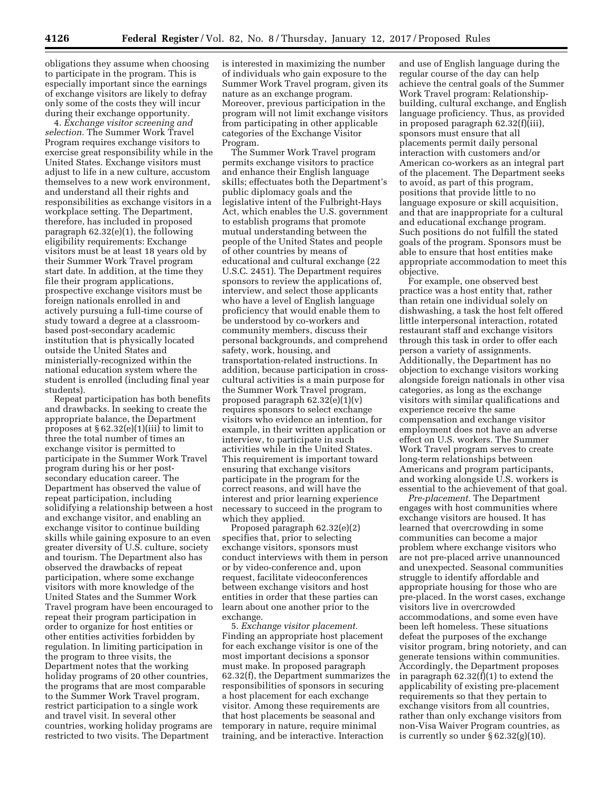obligations they assume when choosing to participate in the program. This is especially important since the earnings of exchange visitors are likely to defray only some of the costs they will incur during their exchange opportunity.

4. *Exchange visitor screening and selection.* The Summer Work Travel Program requires exchange visitors to exercise great responsibility while in the United States. Exchange visitors must adjust to life in a new culture, accustom themselves to a new work environment, and understand all their rights and responsibilities as exchange visitors in a workplace setting. The Department, therefore, has included in proposed paragraph 62.32(e)(1), the following eligibility requirements: Exchange visitors must be at least 18 years old by their Summer Work Travel program start date. In addition, at the time they file their program applications, prospective exchange visitors must be foreign nationals enrolled in and actively pursuing a full-time course of study toward a degree at a classroombased post-secondary academic institution that is physically located outside the United States and ministerially-recognized within the national education system where the student is enrolled (including final year students).

Repeat participation has both benefits and drawbacks. In seeking to create the appropriate balance, the Department proposes at  $\S 62.32(e)(1)(iii)$  to limit to three the total number of times an exchange visitor is permitted to participate in the Summer Work Travel program during his or her postsecondary education career. The Department has observed the value of repeat participation, including solidifying a relationship between a host and exchange visitor, and enabling an exchange visitor to continue building skills while gaining exposure to an even greater diversity of U.S. culture, society and tourism. The Department also has observed the drawbacks of repeat participation, where some exchange visitors with more knowledge of the United States and the Summer Work Travel program have been encouraged to repeat their program participation in order to organize for host entities or other entities activities forbidden by regulation. In limiting participation in the program to three visits, the Department notes that the working holiday programs of 20 other countries, the programs that are most comparable to the Summer Work Travel program, restrict participation to a single work and travel visit. In several other countries, working holiday programs are restricted to two visits. The Department

is interested in maximizing the number of individuals who gain exposure to the Summer Work Travel program, given its nature as an exchange program. Moreover, previous participation in the program will not limit exchange visitors from participating in other applicable categories of the Exchange Visitor Program.

The Summer Work Travel program permits exchange visitors to practice and enhance their English language skills; effectuates both the Department's public diplomacy goals and the legislative intent of the Fulbright-Hays Act, which enables the U.S. government to establish programs that promote mutual understanding between the people of the United States and people of other countries by means of educational and cultural exchange (22 U.S.C. 2451). The Department requires sponsors to review the applications of, interview, and select those applicants who have a level of English language proficiency that would enable them to be understood by co-workers and community members, discuss their personal backgrounds, and comprehend safety, work, housing, and transportation-related instructions. In addition, because participation in crosscultural activities is a main purpose for the Summer Work Travel program, proposed paragraph 62.32(e)(1)(v) requires sponsors to select exchange visitors who evidence an intention, for example, in their written application or interview, to participate in such activities while in the United States. This requirement is important toward ensuring that exchange visitors participate in the program for the correct reasons, and will have the interest and prior learning experience necessary to succeed in the program to which they applied.

Proposed paragraph 62.32(e)(2) specifies that, prior to selecting exchange visitors, sponsors must conduct interviews with them in person or by video-conference and, upon request, facilitate videoconferences between exchange visitors and host entities in order that these parties can learn about one another prior to the exchange.

5. *Exchange visitor placement.*  Finding an appropriate host placement for each exchange visitor is one of the most important decisions a sponsor must make. In proposed paragraph 62.32(f), the Department summarizes the responsibilities of sponsors in securing a host placement for each exchange visitor. Among these requirements are that host placements be seasonal and temporary in nature, require minimal training, and be interactive. Interaction

and use of English language during the regular course of the day can help achieve the central goals of the Summer Work Travel program: Relationshipbuilding, cultural exchange, and English language proficiency. Thus, as provided in proposed paragraph 62.32(f)(iii), sponsors must ensure that all placements permit daily personal interaction with customers and/or American co-workers as an integral part of the placement. The Department seeks to avoid, as part of this program, positions that provide little to no language exposure or skill acquisition, and that are inappropriate for a cultural and educational exchange program. Such positions do not fulfill the stated goals of the program. Sponsors must be able to ensure that host entities make appropriate accommodation to meet this objective.

For example, one observed best practice was a host entity that, rather than retain one individual solely on dishwashing, a task the host felt offered little interpersonal interaction, rotated restaurant staff and exchange visitors through this task in order to offer each person a variety of assignments. Additionally, the Department has no objection to exchange visitors working alongside foreign nationals in other visa categories, as long as the exchange visitors with similar qualifications and experience receive the same compensation and exchange visitor employment does not have an adverse effect on U.S. workers. The Summer Work Travel program serves to create long-term relationships between Americans and program participants, and working alongside U.S. workers is essential to the achievement of that goal.

*Pre-placement.* The Department engages with host communities where exchange visitors are housed. It has learned that overcrowding in some communities can become a major problem where exchange visitors who are not pre-placed arrive unannounced and unexpected. Seasonal communities struggle to identify affordable and appropriate housing for those who are pre-placed. In the worst cases, exchange visitors live in overcrowded accommodations, and some even have been left homeless. These situations defeat the purposes of the exchange visitor program, bring notoriety, and can generate tensions within communities. Accordingly, the Department proposes in paragraph 62.32(f)(1) to extend the applicability of existing pre-placement requirements so that they pertain to exchange visitors from all countries, rather than only exchange visitors from non-Visa Waiver Program countries, as is currently so under  $\S 62.32(g)(10)$ .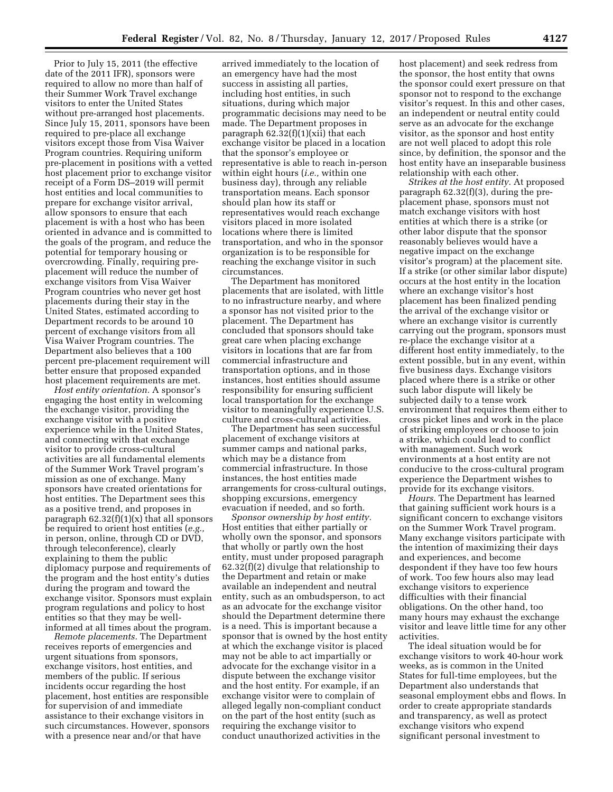Prior to July 15, 2011 (the effective date of the 2011 IFR), sponsors were required to allow no more than half of their Summer Work Travel exchange visitors to enter the United States without pre-arranged host placements. Since July 15, 2011, sponsors have been required to pre-place all exchange visitors except those from Visa Waiver Program countries. Requiring uniform pre-placement in positions with a vetted host placement prior to exchange visitor receipt of a Form DS–2019 will permit host entities and local communities to prepare for exchange visitor arrival, allow sponsors to ensure that each placement is with a host who has been oriented in advance and is committed to the goals of the program, and reduce the potential for temporary housing or overcrowding. Finally, requiring preplacement will reduce the number of exchange visitors from Visa Waiver Program countries who never get host placements during their stay in the United States, estimated according to Department records to be around 10 percent of exchange visitors from all Visa Waiver Program countries. The Department also believes that a 100 percent pre-placement requirement will better ensure that proposed expanded host placement requirements are met.

*Host entity orientation.* A sponsor's engaging the host entity in welcoming the exchange visitor, providing the exchange visitor with a positive experience while in the United States, and connecting with that exchange visitor to provide cross-cultural activities are all fundamental elements of the Summer Work Travel program's mission as one of exchange. Many sponsors have created orientations for host entities. The Department sees this as a positive trend, and proposes in paragraph  $62.32(f)(1)(x)$  that all sponsors be required to orient host entities (*e.g.,*  in person, online, through CD or DVD, through teleconference), clearly explaining to them the public diplomacy purpose and requirements of the program and the host entity's duties during the program and toward the exchange visitor. Sponsors must explain program regulations and policy to host entities so that they may be wellinformed at all times about the program.

*Remote placements.* The Department receives reports of emergencies and urgent situations from sponsors, exchange visitors, host entities, and members of the public. If serious incidents occur regarding the host placement, host entities are responsible for supervision of and immediate assistance to their exchange visitors in such circumstances. However, sponsors with a presence near and/or that have

arrived immediately to the location of an emergency have had the most success in assisting all parties, including host entities, in such situations, during which major programmatic decisions may need to be made. The Department proposes in paragraph 62.32(f)(1)(xii) that each exchange visitor be placed in a location that the sponsor's employee or representative is able to reach in-person within eight hours (*i.e.,* within one business day), through any reliable transportation means. Each sponsor should plan how its staff or representatives would reach exchange visitors placed in more isolated locations where there is limited transportation, and who in the sponsor organization is to be responsible for reaching the exchange visitor in such circumstances.

The Department has monitored placements that are isolated, with little to no infrastructure nearby, and where a sponsor has not visited prior to the placement. The Department has concluded that sponsors should take great care when placing exchange visitors in locations that are far from commercial infrastructure and transportation options, and in those instances, host entities should assume responsibility for ensuring sufficient local transportation for the exchange visitor to meaningfully experience U.S. culture and cross-cultural activities.

The Department has seen successful placement of exchange visitors at summer camps and national parks, which may be a distance from commercial infrastructure. In those instances, the host entities made arrangements for cross-cultural outings, shopping excursions, emergency evacuation if needed, and so forth.

*Sponsor ownership by host entity.*  Host entities that either partially or wholly own the sponsor, and sponsors that wholly or partly own the host entity, must under proposed paragraph 62.32(f)(2) divulge that relationship to the Department and retain or make available an independent and neutral entity, such as an ombudsperson, to act as an advocate for the exchange visitor should the Department determine there is a need. This is important because a sponsor that is owned by the host entity at which the exchange visitor is placed may not be able to act impartially or advocate for the exchange visitor in a dispute between the exchange visitor and the host entity. For example, if an exchange visitor were to complain of alleged legally non-compliant conduct on the part of the host entity (such as requiring the exchange visitor to conduct unauthorized activities in the

host placement) and seek redress from the sponsor, the host entity that owns the sponsor could exert pressure on that sponsor not to respond to the exchange visitor's request. In this and other cases, an independent or neutral entity could serve as an advocate for the exchange visitor, as the sponsor and host entity are not well placed to adopt this role since, by definition, the sponsor and the host entity have an inseparable business relationship with each other.

*Strikes at the host entity.* At proposed paragraph 62.32(f)(3), during the preplacement phase, sponsors must not match exchange visitors with host entities at which there is a strike (or other labor dispute that the sponsor reasonably believes would have a negative impact on the exchange visitor's program) at the placement site. If a strike (or other similar labor dispute) occurs at the host entity in the location where an exchange visitor's host placement has been finalized pending the arrival of the exchange visitor or where an exchange visitor is currently carrying out the program, sponsors must re-place the exchange visitor at a different host entity immediately, to the extent possible, but in any event, within five business days. Exchange visitors placed where there is a strike or other such labor dispute will likely be subjected daily to a tense work environment that requires them either to cross picket lines and work in the place of striking employees or choose to join a strike, which could lead to conflict with management. Such work environments at a host entity are not conducive to the cross-cultural program experience the Department wishes to provide for its exchange visitors.

*Hours.* The Department has learned that gaining sufficient work hours is a significant concern to exchange visitors on the Summer Work Travel program. Many exchange visitors participate with the intention of maximizing their days and experiences, and become despondent if they have too few hours of work. Too few hours also may lead exchange visitors to experience difficulties with their financial obligations. On the other hand, too many hours may exhaust the exchange visitor and leave little time for any other activities.

The ideal situation would be for exchange visitors to work 40-hour work weeks, as is common in the United States for full-time employees, but the Department also understands that seasonal employment ebbs and flows. In order to create appropriate standards and transparency, as well as protect exchange visitors who expend significant personal investment to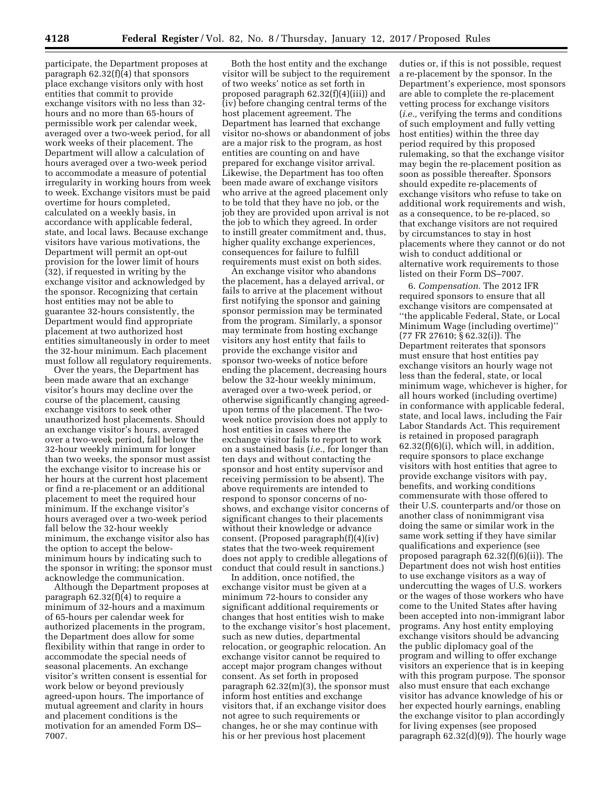participate, the Department proposes at paragraph 62.32(f)(4) that sponsors place exchange visitors only with host entities that commit to provide exchange visitors with no less than 32 hours and no more than 65-hours of permissible work per calendar week, averaged over a two-week period, for all work weeks of their placement. The Department will allow a calculation of hours averaged over a two-week period to accommodate a measure of potential irregularity in working hours from week to week. Exchange visitors must be paid overtime for hours completed, calculated on a weekly basis, in accordance with applicable federal, state, and local laws. Because exchange visitors have various motivations, the Department will permit an opt-out provision for the lower limit of hours (32), if requested in writing by the exchange visitor and acknowledged by the sponsor. Recognizing that certain host entities may not be able to guarantee 32-hours consistently, the Department would find appropriate placement at two authorized host entities simultaneously in order to meet the 32-hour minimum. Each placement must follow all regulatory requirements.

Over the years, the Department has been made aware that an exchange visitor's hours may decline over the course of the placement, causing exchange visitors to seek other unauthorized host placements. Should an exchange visitor's hours, averaged over a two-week period, fall below the 32-hour weekly minimum for longer than two weeks, the sponsor must assist the exchange visitor to increase his or her hours at the current host placement or find a re-placement or an additional placement to meet the required hour minimum. If the exchange visitor's hours averaged over a two-week period fall below the 32-hour weekly minimum, the exchange visitor also has the option to accept the belowminimum hours by indicating such to the sponsor in writing; the sponsor must acknowledge the communication.

Although the Department proposes at paragraph 62.32(f)(4) to require a minimum of 32-hours and a maximum of 65-hours per calendar week for authorized placements in the program, the Department does allow for some flexibility within that range in order to accommodate the special needs of seasonal placements. An exchange visitor's written consent is essential for work below or beyond previously agreed-upon hours. The importance of mutual agreement and clarity in hours and placement conditions is the motivation for an amended Form DS– 7007.

Both the host entity and the exchange visitor will be subject to the requirement of two weeks' notice as set forth in proposed paragraph 62.32(f)(4)(iii)) and (iv) before changing central terms of the host placement agreement. The Department has learned that exchange visitor no-shows or abandonment of jobs are a major risk to the program, as host entities are counting on and have prepared for exchange visitor arrival. Likewise, the Department has too often been made aware of exchange visitors who arrive at the agreed placement only to be told that they have no job, or the job they are provided upon arrival is not the job to which they agreed. In order to instill greater commitment and, thus, higher quality exchange experiences, consequences for failure to fulfill requirements must exist on both sides.

An exchange visitor who abandons the placement, has a delayed arrival, or fails to arrive at the placement without first notifying the sponsor and gaining sponsor permission may be terminated from the program. Similarly, a sponsor may terminate from hosting exchange visitors any host entity that fails to provide the exchange visitor and sponsor two-weeks of notice before ending the placement, decreasing hours below the 32-hour weekly minimum, averaged over a two-week period, or otherwise significantly changing agreedupon terms of the placement. The twoweek notice provision does not apply to host entities in cases where the exchange visitor fails to report to work on a sustained basis (*i.e.,* for longer than ten days and without contacting the sponsor and host entity supervisor and receiving permission to be absent). The above requirements are intended to respond to sponsor concerns of noshows, and exchange visitor concerns of significant changes to their placements without their knowledge or advance consent. (Proposed paragraph(f)(4)(iv) states that the two-week requirement does not apply to credible allegations of conduct that could result in sanctions.)

In addition, once notified, the exchange visitor must be given at a minimum 72-hours to consider any significant additional requirements or changes that host entities wish to make to the exchange visitor's host placement, such as new duties, departmental relocation, or geographic relocation. An exchange visitor cannot be required to accept major program changes without consent. As set forth in proposed paragraph 62.32(m)(3), the sponsor must inform host entities and exchange visitors that, if an exchange visitor does not agree to such requirements or changes, he or she may continue with his or her previous host placement

duties or, if this is not possible, request a re-placement by the sponsor. In the Department's experience, most sponsors are able to complete the re-placement vetting process for exchange visitors (*i.e.,* verifying the terms and conditions of such employment and fully vetting host entities) within the three day period required by this proposed rulemaking, so that the exchange visitor may begin the re-placement position as soon as possible thereafter. Sponsors should expedite re-placements of exchange visitors who refuse to take on additional work requirements and wish, as a consequence, to be re-placed, so that exchange visitors are not required by circumstances to stay in host placements where they cannot or do not wish to conduct additional or alternative work requirements to those listed on their Form DS–7007.

6. *Compensation.* The 2012 IFR required sponsors to ensure that all exchange visitors are compensated at ''the applicable Federal, State, or Local Minimum Wage (including overtime)'' (77 FR 27610; § 62.32(i)). The Department reiterates that sponsors must ensure that host entities pay exchange visitors an hourly wage not less than the federal, state, or local minimum wage, whichever is higher, for all hours worked (including overtime) in conformance with applicable federal, state, and local laws, including the Fair Labor Standards Act. This requirement is retained in proposed paragraph  $62.32(f)(6)(i)$ , which will, in addition, require sponsors to place exchange visitors with host entities that agree to provide exchange visitors with pay, benefits, and working conditions commensurate with those offered to their U.S. counterparts and/or those on another class of nonimmigrant visa doing the same or similar work in the same work setting if they have similar qualifications and experience (see proposed paragraph 62.32(f)(6)(ii)). The Department does not wish host entities to use exchange visitors as a way of undercutting the wages of U.S. workers or the wages of those workers who have come to the United States after having been accepted into non-immigrant labor programs. Any host entity employing exchange visitors should be advancing the public diplomacy goal of the program and willing to offer exchange visitors an experience that is in keeping with this program purpose. The sponsor also must ensure that each exchange visitor has advance knowledge of his or her expected hourly earnings, enabling the exchange visitor to plan accordingly for living expenses (see proposed paragraph 62.32(d)(9)). The hourly wage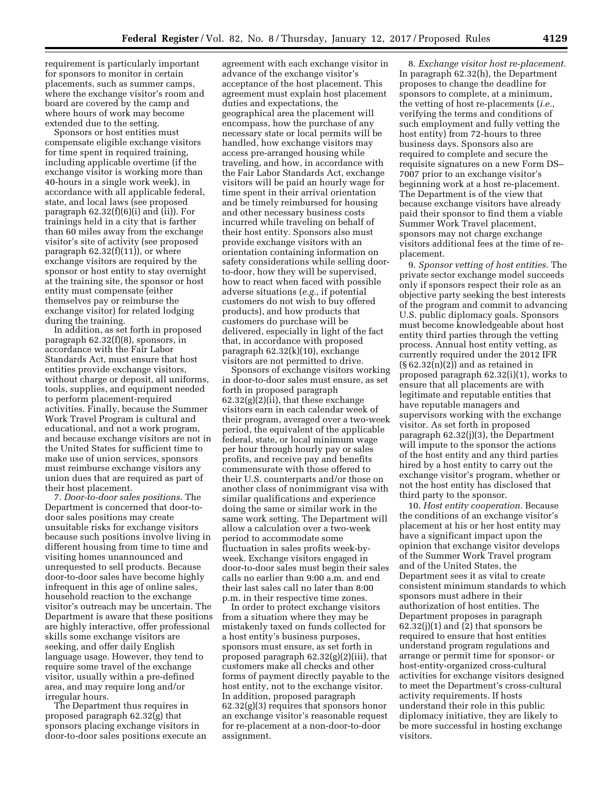requirement is particularly important for sponsors to monitor in certain placements, such as summer camps, where the exchange visitor's room and board are covered by the camp and where hours of work may become extended due to the setting.

Sponsors or host entities must compensate eligible exchange visitors for time spent in required training, including applicable overtime (if the exchange visitor is working more than 40-hours in a single work week), in accordance with all applicable federal, state, and local laws (see proposed paragraph  $62.32(f)(6)(i)$  and (ii)). For trainings held in a city that is farther than 60 miles away from the exchange visitor's site of activity (see proposed paragraph  $62.32(f)(11)$ , or where exchange visitors are required by the sponsor or host entity to stay overnight at the training site, the sponsor or host entity must compensate (either themselves pay or reimburse the exchange visitor) for related lodging during the training.

In addition, as set forth in proposed paragraph 62.32(f)(8), sponsors, in accordance with the Fair Labor Standards Act, must ensure that host entities provide exchange visitors, without charge or deposit, all uniforms, tools, supplies, and equipment needed to perform placement-required activities. Finally, because the Summer Work Travel Program is cultural and educational, and not a work program, and because exchange visitors are not in the United States for sufficient time to make use of union services, sponsors must reimburse exchange visitors any union dues that are required as part of their host placement.

7. *Door-to-door sales positions.* The Department is concerned that door-todoor sales positions may create unsuitable risks for exchange visitors because such positions involve living in different housing from time to time and visiting homes unannounced and unrequested to sell products. Because door-to-door sales have become highly infrequent in this age of online sales, household reaction to the exchange visitor's outreach may be uncertain. The Department is aware that these positions are highly interactive, offer professional skills some exchange visitors are seeking, and offer daily English language usage. However, they tend to require some travel of the exchange visitor, usually within a pre-defined area, and may require long and/or irregular hours.

The Department thus requires in proposed paragraph 62.32(g) that sponsors placing exchange visitors in door-to-door sales positions execute an

agreement with each exchange visitor in advance of the exchange visitor's acceptance of the host placement. This agreement must explain host placement duties and expectations, the geographical area the placement will encompass, how the purchase of any necessary state or local permits will be handled, how exchange visitors may access pre-arranged housing while traveling, and how, in accordance with the Fair Labor Standards Act, exchange visitors will be paid an hourly wage for time spent in their arrival orientation and be timely reimbursed for housing and other necessary business costs incurred while traveling on behalf of their host entity. Sponsors also must provide exchange visitors with an orientation containing information on safety considerations while selling doorto-door, how they will be supervised, how to react when faced with possible adverse situations (*e.g.,* if potential customers do not wish to buy offered products), and how products that customers do purchase will be delivered, especially in light of the fact that, in accordance with proposed paragraph 62.32(k)(10), exchange visitors are not permitted to drive.

Sponsors of exchange visitors working in door-to-door sales must ensure, as set forth in proposed paragraph  $62.32(g)(2)(ii)$ , that these exchange visitors earn in each calendar week of their program, averaged over a two-week period, the equivalent of the applicable federal, state, or local minimum wage per hour through hourly pay or sales profits, and receive pay and benefits commensurate with those offered to their U.S. counterparts and/or those on another class of nonimmigrant visa with similar qualifications and experience doing the same or similar work in the same work setting. The Department will allow a calculation over a two-week period to accommodate some fluctuation in sales profits week-byweek. Exchange visitors engaged in door-to-door sales must begin their sales calls no earlier than 9:00 a.m. and end their last sales call no later than 8:00 p.m. in their respective time zones.

In order to protect exchange visitors from a situation where they may be mistakenly taxed on funds collected for a host entity's business purposes, sponsors must ensure, as set forth in proposed paragraph 62.32(g)(2)(iii), that customers make all checks and other forms of payment directly payable to the host entity, not to the exchange visitor. In addition, proposed paragraph 62.32(g)(3) requires that sponsors honor an exchange visitor's reasonable request for re-placement at a non-door-to-door assignment.

8. *Exchange visitor host re-placement.*  In paragraph 62.32(h), the Department proposes to change the deadline for sponsors to complete, at a minimum, the vetting of host re-placements (*i.e.,*  verifying the terms and conditions of such employment and fully vetting the host entity) from 72-hours to three business days. Sponsors also are required to complete and secure the requisite signatures on a new Form DS– 7007 prior to an exchange visitor's beginning work at a host re-placement. The Department is of the view that because exchange visitors have already paid their sponsor to find them a viable Summer Work Travel placement, sponsors may not charge exchange visitors additional fees at the time of replacement.

9. *Sponsor vetting of host entities.* The private sector exchange model succeeds only if sponsors respect their role as an objective party seeking the best interests of the program and commit to advancing U.S. public diplomacy goals. Sponsors must become knowledgeable about host entity third parties through the vetting process. Annual host entity vetting, as currently required under the 2012 IFR  $(\S 62.32(n)(2))$  and as retained in proposed paragraph 62.32(i)(1), works to ensure that all placements are with legitimate and reputable entities that have reputable managers and supervisors working with the exchange visitor. As set forth in proposed paragraph 62.32(j)(3), the Department will impute to the sponsor the actions of the host entity and any third parties hired by a host entity to carry out the exchange visitor's program, whether or not the host entity has disclosed that third party to the sponsor.

10. *Host entity cooperation.* Because the conditions of an exchange visitor's placement at his or her host entity may have a significant impact upon the opinion that exchange visitor develops of the Summer Work Travel program and of the United States, the Department sees it as vital to create consistent minimum standards to which sponsors must adhere in their authorization of host entities. The Department proposes in paragraph  $62.32(j)(1)$  and  $(2)$  that sponsors be required to ensure that host entities understand program regulations and arrange or permit time for sponsor- or host-entity-organized cross-cultural activities for exchange visitors designed to meet the Department's cross-cultural activity requirements. If hosts understand their role in this public diplomacy initiative, they are likely to be more successful in hosting exchange visitors.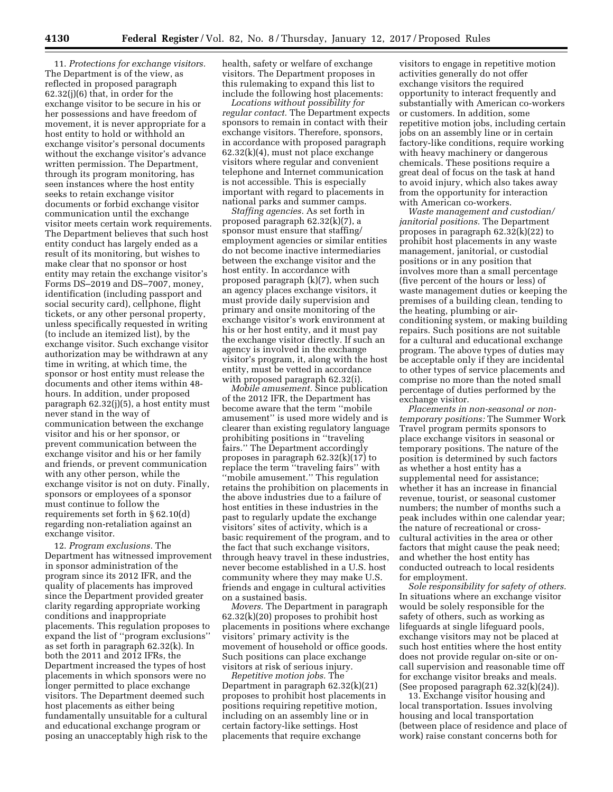11. *Protections for exchange visitors.*  The Department is of the view, as reflected in proposed paragraph 62.32(j)(6) that, in order for the exchange visitor to be secure in his or her possessions and have freedom of movement, it is never appropriate for a host entity to hold or withhold an exchange visitor's personal documents without the exchange visitor's advance written permission. The Department, through its program monitoring, has seen instances where the host entity seeks to retain exchange visitor documents or forbid exchange visitor communication until the exchange visitor meets certain work requirements. The Department believes that such host entity conduct has largely ended as a result of its monitoring, but wishes to make clear that no sponsor or host entity may retain the exchange visitor's Forms DS–2019 and DS–7007, money, identification (including passport and social security card), cellphone, flight tickets, or any other personal property, unless specifically requested in writing (to include an itemized list), by the exchange visitor. Such exchange visitor authorization may be withdrawn at any time in writing, at which time, the sponsor or host entity must release the documents and other items within 48 hours. In addition, under proposed paragraph 62.32(j)(5), a host entity must never stand in the way of communication between the exchange visitor and his or her sponsor, or prevent communication between the exchange visitor and his or her family and friends, or prevent communication with any other person, while the exchange visitor is not on duty. Finally, sponsors or employees of a sponsor must continue to follow the requirements set forth in § 62.10(d) regarding non-retaliation against an exchange visitor.

12. *Program exclusions.* The Department has witnessed improvement in sponsor administration of the program since its 2012 IFR, and the quality of placements has improved since the Department provided greater clarity regarding appropriate working conditions and inappropriate placements. This regulation proposes to expand the list of ''program exclusions'' as set forth in paragraph 62.32(k). In both the 2011 and 2012 IFRs, the Department increased the types of host placements in which sponsors were no longer permitted to place exchange visitors. The Department deemed such host placements as either being fundamentally unsuitable for a cultural and educational exchange program or posing an unacceptably high risk to the

health, safety or welfare of exchange visitors. The Department proposes in this rulemaking to expand this list to include the following host placements:

*Locations without possibility for regular contact.* The Department expects sponsors to remain in contact with their exchange visitors. Therefore, sponsors, in accordance with proposed paragraph 62.32(k)(4), must not place exchange visitors where regular and convenient telephone and Internet communication is not accessible. This is especially important with regard to placements in national parks and summer camps.

*Staffing agencies.* As set forth in proposed paragraph 62.32(k)(7), a sponsor must ensure that staffing/ employment agencies or similar entities do not become inactive intermediaries between the exchange visitor and the host entity. In accordance with proposed paragraph (k)(7), when such an agency places exchange visitors, it must provide daily supervision and primary and onsite monitoring of the exchange visitor's work environment at his or her host entity, and it must pay the exchange visitor directly. If such an agency is involved in the exchange visitor's program, it, along with the host entity, must be vetted in accordance with proposed paragraph 62.32(i).

*Mobile amusement.* Since publication of the 2012 IFR, the Department has become aware that the term ''mobile amusement'' is used more widely and is clearer than existing regulatory language prohibiting positions in ''traveling fairs.'' The Department accordingly proposes in paragraph 62.32(k)(17) to replace the term ''traveling fairs'' with ''mobile amusement.'' This regulation retains the prohibition on placements in the above industries due to a failure of host entities in these industries in the past to regularly update the exchange visitors' sites of activity, which is a basic requirement of the program, and to the fact that such exchange visitors, through heavy travel in these industries, never become established in a U.S. host community where they may make U.S. friends and engage in cultural activities on a sustained basis.

*Movers.* The Department in paragraph 62.32(k)(20) proposes to prohibit host placements in positions where exchange visitors' primary activity is the movement of household or office goods. Such positions can place exchange visitors at risk of serious injury.

*Repetitive motion jobs.* The Department in paragraph 62.32(k)(21) proposes to prohibit host placements in positions requiring repetitive motion, including on an assembly line or in certain factory-like settings. Host placements that require exchange

visitors to engage in repetitive motion activities generally do not offer exchange visitors the required opportunity to interact frequently and substantially with American co-workers or customers. In addition, some repetitive motion jobs, including certain jobs on an assembly line or in certain factory-like conditions, require working with heavy machinery or dangerous chemicals. These positions require a great deal of focus on the task at hand to avoid injury, which also takes away from the opportunity for interaction with American co-workers.

*Waste management and custodian/ janitorial positions.* The Department proposes in paragraph 62.32(k)(22) to prohibit host placements in any waste management, janitorial, or custodial positions or in any position that involves more than a small percentage (five percent of the hours or less) of waste management duties or keeping the premises of a building clean, tending to the heating, plumbing or airconditioning system, or making building repairs. Such positions are not suitable for a cultural and educational exchange program. The above types of duties may be acceptable only if they are incidental to other types of service placements and comprise no more than the noted small percentage of duties performed by the exchange visitor.

*Placements in non-seasonal or nontemporary positions:* The Summer Work Travel program permits sponsors to place exchange visitors in seasonal or temporary positions. The nature of the position is determined by such factors as whether a host entity has a supplemental need for assistance; whether it has an increase in financial revenue, tourist, or seasonal customer numbers; the number of months such a peak includes within one calendar year; the nature of recreational or crosscultural activities in the area or other factors that might cause the peak need; and whether the host entity has conducted outreach to local residents for employment.

*Sole responsibility for safety of others.*  In situations where an exchange visitor would be solely responsible for the safety of others, such as working as lifeguards at single lifeguard pools, exchange visitors may not be placed at such host entities where the host entity does not provide regular on-site or oncall supervision and reasonable time off for exchange visitor breaks and meals. (See proposed paragraph 62.32(k)(24)).

13. Exchange visitor housing and local transportation. Issues involving housing and local transportation (between place of residence and place of work) raise constant concerns both for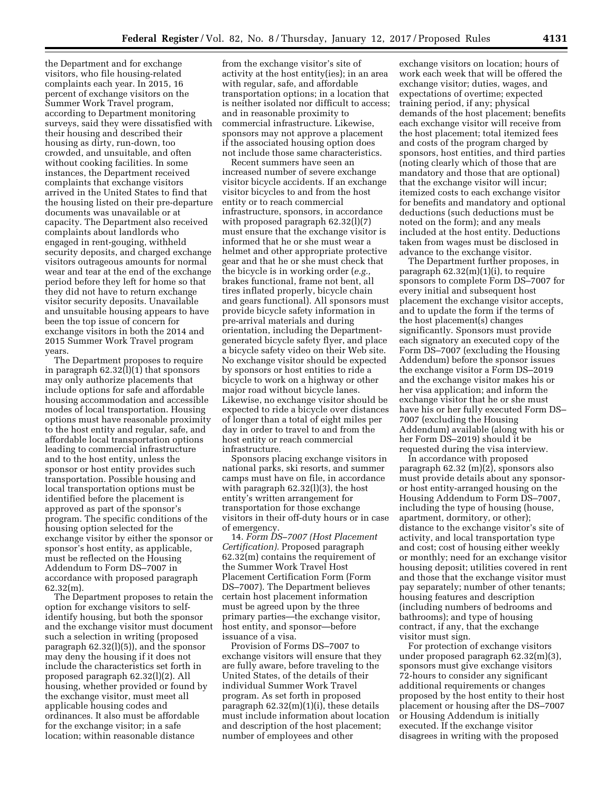the Department and for exchange visitors, who file housing-related complaints each year. In 2015, 16 percent of exchange visitors on the Summer Work Travel program, according to Department monitoring surveys, said they were dissatisfied with their housing and described their housing as dirty, run-down, too crowded, and unsuitable, and often without cooking facilities. In some instances, the Department received complaints that exchange visitors arrived in the United States to find that the housing listed on their pre-departure documents was unavailable or at capacity. The Department also received complaints about landlords who engaged in rent-gouging, withheld security deposits, and charged exchange visitors outrageous amounts for normal wear and tear at the end of the exchange period before they left for home so that they did not have to return exchange visitor security deposits. Unavailable and unsuitable housing appears to have been the top issue of concern for exchange visitors in both the 2014 and 2015 Summer Work Travel program years.

The Department proposes to require in paragraph 62.32(l)(1) that sponsors may only authorize placements that include options for safe and affordable housing accommodation and accessible modes of local transportation. Housing options must have reasonable proximity to the host entity and regular, safe, and affordable local transportation options leading to commercial infrastructure and to the host entity, unless the sponsor or host entity provides such transportation. Possible housing and local transportation options must be identified before the placement is approved as part of the sponsor's program. The specific conditions of the housing option selected for the exchange visitor by either the sponsor or sponsor's host entity, as applicable, must be reflected on the Housing Addendum to Form DS–7007 in accordance with proposed paragraph 62.32(m).

The Department proposes to retain the option for exchange visitors to selfidentify housing, but both the sponsor and the exchange visitor must document such a selection in writing (proposed paragraph 62.32(l)(5)), and the sponsor may deny the housing if it does not include the characteristics set forth in proposed paragraph 62.32(l)(2). All housing, whether provided or found by the exchange visitor, must meet all applicable housing codes and ordinances. It also must be affordable for the exchange visitor; in a safe location; within reasonable distance

from the exchange visitor's site of activity at the host entity(ies); in an area with regular, safe, and affordable transportation options; in a location that is neither isolated nor difficult to access; and in reasonable proximity to commercial infrastructure. Likewise, sponsors may not approve a placement if the associated housing option does not include those same characteristics.

Recent summers have seen an increased number of severe exchange visitor bicycle accidents. If an exchange visitor bicycles to and from the host entity or to reach commercial infrastructure, sponsors, in accordance with proposed paragraph 62.32(l)(7) must ensure that the exchange visitor is informed that he or she must wear a helmet and other appropriate protective gear and that he or she must check that the bicycle is in working order (*e.g.,*  brakes functional, frame not bent, all tires inflated properly, bicycle chain and gears functional). All sponsors must provide bicycle safety information in pre-arrival materials and during orientation, including the Departmentgenerated bicycle safety flyer, and place a bicycle safety video on their Web site. No exchange visitor should be expected by sponsors or host entities to ride a bicycle to work on a highway or other major road without bicycle lanes. Likewise, no exchange visitor should be expected to ride a bicycle over distances of longer than a total of eight miles per day in order to travel to and from the host entity or reach commercial infrastructure.

Sponsors placing exchange visitors in national parks, ski resorts, and summer camps must have on file, in accordance with paragraph  $62.32(1)(3)$ , the host entity's written arrangement for transportation for those exchange visitors in their off-duty hours or in case of emergency.

14. *Form DS–7007 (Host Placement Certification).* Proposed paragraph 62.32(m) contains the requirement of the Summer Work Travel Host Placement Certification Form (Form DS–7007). The Department believes certain host placement information must be agreed upon by the three primary parties—the exchange visitor, host entity, and sponsor—before issuance of a visa.

Provision of Forms DS–7007 to exchange visitors will ensure that they are fully aware, before traveling to the United States, of the details of their individual Summer Work Travel program. As set forth in proposed paragraph 62.32(m)(1)(i), these details must include information about location and description of the host placement; number of employees and other

exchange visitors on location; hours of work each week that will be offered the exchange visitor; duties, wages, and expectations of overtime; expected training period, if any; physical demands of the host placement; benefits each exchange visitor will receive from the host placement; total itemized fees and costs of the program charged by sponsors, host entities, and third parties (noting clearly which of those that are mandatory and those that are optional) that the exchange visitor will incur; itemized costs to each exchange visitor for benefits and mandatory and optional deductions (such deductions must be noted on the form); and any meals included at the host entity. Deductions taken from wages must be disclosed in advance to the exchange visitor.

The Department further proposes, in paragraph 62.32(m)(1)(i), to require sponsors to complete Form DS–7007 for every initial and subsequent host placement the exchange visitor accepts, and to update the form if the terms of the host placement(s) changes significantly. Sponsors must provide each signatory an executed copy of the Form DS–7007 (excluding the Housing Addendum) before the sponsor issues the exchange visitor a Form DS–2019 and the exchange visitor makes his or her visa application; and inform the exchange visitor that he or she must have his or her fully executed Form DS– 7007 (excluding the Housing Addendum) available (along with his or her Form DS–2019) should it be requested during the visa interview.

In accordance with proposed paragraph 62.32 (m)(2), sponsors also must provide details about any sponsoror host entity-arranged housing on the Housing Addendum to Form DS–7007, including the type of housing (house, apartment, dormitory, or other); distance to the exchange visitor's site of activity, and local transportation type and cost; cost of housing either weekly or monthly; need for an exchange visitor housing deposit; utilities covered in rent and those that the exchange visitor must pay separately; number of other tenants; housing features and description (including numbers of bedrooms and bathrooms); and type of housing contract, if any, that the exchange visitor must sign.

For protection of exchange visitors under proposed paragraph 62.32(m)(3), sponsors must give exchange visitors 72-hours to consider any significant additional requirements or changes proposed by the host entity to their host placement or housing after the DS–7007 or Housing Addendum is initially executed. If the exchange visitor disagrees in writing with the proposed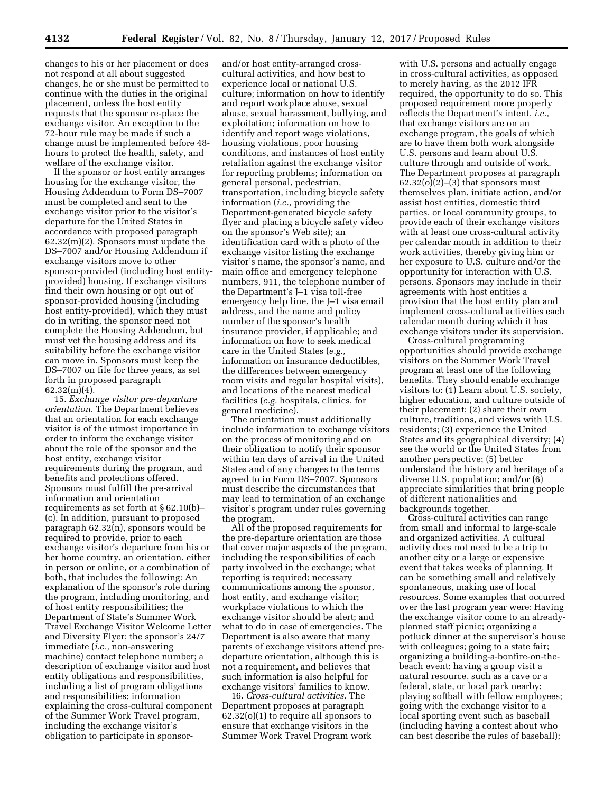changes to his or her placement or does not respond at all about suggested changes, he or she must be permitted to continue with the duties in the original placement, unless the host entity requests that the sponsor re-place the exchange visitor. An exception to the 72-hour rule may be made if such a change must be implemented before 48 hours to protect the health, safety, and welfare of the exchange visitor.

If the sponsor or host entity arranges housing for the exchange visitor, the Housing Addendum to Form DS–7007 must be completed and sent to the exchange visitor prior to the visitor's departure for the United States in accordance with proposed paragraph 62.32(m)(2). Sponsors must update the DS–7007 and/or Housing Addendum if exchange visitors move to other sponsor-provided (including host entityprovided) housing. If exchange visitors find their own housing or opt out of sponsor-provided housing (including host entity-provided), which they must do in writing, the sponsor need not complete the Housing Addendum, but must vet the housing address and its suitability before the exchange visitor can move in. Sponsors must keep the DS–7007 on file for three years, as set forth in proposed paragraph  $62.32(m)(4)$ .

15. *Exchange visitor pre-departure orientation.* The Department believes that an orientation for each exchange visitor is of the utmost importance in order to inform the exchange visitor about the role of the sponsor and the host entity, exchange visitor requirements during the program, and benefits and protections offered. Sponsors must fulfill the pre-arrival information and orientation requirements as set forth at § 62.10(b)– (c). In addition, pursuant to proposed paragraph 62.32(n), sponsors would be required to provide, prior to each exchange visitor's departure from his or her home country, an orientation, either in person or online, or a combination of both, that includes the following: An explanation of the sponsor's role during the program, including monitoring, and of host entity responsibilities; the Department of State's Summer Work Travel Exchange Visitor Welcome Letter and Diversity Flyer; the sponsor's 24/7 immediate (*i.e.,* non-answering machine) contact telephone number; a description of exchange visitor and host entity obligations and responsibilities, including a list of program obligations and responsibilities; information explaining the cross-cultural component of the Summer Work Travel program, including the exchange visitor's obligation to participate in sponsor-

and/or host entity-arranged crosscultural activities, and how best to experience local or national U.S. culture; information on how to identify and report workplace abuse, sexual abuse, sexual harassment, bullying, and exploitation; information on how to identify and report wage violations, housing violations, poor housing conditions, and instances of host entity retaliation against the exchange visitor for reporting problems; information on general personal, pedestrian, transportation, including bicycle safety information (*i.e.,* providing the Department-generated bicycle safety flyer and placing a bicycle safety video on the sponsor's Web site); an identification card with a photo of the exchange visitor listing the exchange visitor's name, the sponsor's name, and main office and emergency telephone numbers, 911, the telephone number of the Department's J–1 visa toll-free emergency help line, the J–1 visa email address, and the name and policy number of the sponsor's health insurance provider, if applicable; and information on how to seek medical care in the United States (*e.g.,*  information on insurance deductibles, the differences between emergency room visits and regular hospital visits), and locations of the nearest medical facilities (*e.g.* hospitals, clinics, for general medicine).

The orientation must additionally include information to exchange visitors on the process of monitoring and on their obligation to notify their sponsor within ten days of arrival in the United States and of any changes to the terms agreed to in Form DS–7007. Sponsors must describe the circumstances that may lead to termination of an exchange visitor's program under rules governing the program.

All of the proposed requirements for the pre-departure orientation are those that cover major aspects of the program, including the responsibilities of each party involved in the exchange; what reporting is required; necessary communications among the sponsor, host entity, and exchange visitor; workplace violations to which the exchange visitor should be alert; and what to do in case of emergencies. The Department is also aware that many parents of exchange visitors attend predeparture orientation, although this is not a requirement, and believes that such information is also helpful for exchange visitors' families to know.

16. *Cross-cultural activities.* The Department proposes at paragraph 62.32(o)(1) to require all sponsors to ensure that exchange visitors in the Summer Work Travel Program work

with U.S. persons and actually engage in cross-cultural activities, as opposed to merely having, as the 2012 IFR required, the opportunity to do so. This proposed requirement more properly reflects the Department's intent, *i.e.,*  that exchange visitors are on an exchange program, the goals of which are to have them both work alongside U.S. persons and learn about U.S. culture through and outside of work. The Department proposes at paragraph  $62.32(o)(2)$ – $(3)$  that sponsors must themselves plan, initiate action, and/or assist host entities, domestic third parties, or local community groups, to provide each of their exchange visitors with at least one cross-cultural activity per calendar month in addition to their work activities, thereby giving him or her exposure to U.S. culture and/or the opportunity for interaction with U.S. persons. Sponsors may include in their agreements with host entities a provision that the host entity plan and implement cross-cultural activities each calendar month during which it has exchange visitors under its supervision.

Cross-cultural programming opportunities should provide exchange visitors on the Summer Work Travel program at least one of the following benefits. They should enable exchange visitors to: (1) Learn about U.S. society, higher education, and culture outside of their placement; (2) share their own culture, traditions, and views with U.S. residents; (3) experience the United States and its geographical diversity; (4) see the world or the United States from another perspective; (5) better understand the history and heritage of a diverse U.S. population; and/or (6) appreciate similarities that bring people of different nationalities and backgrounds together.

Cross-cultural activities can range from small and informal to large-scale and organized activities. A cultural activity does not need to be a trip to another city or a large or expensive event that takes weeks of planning. It can be something small and relatively spontaneous, making use of local resources. Some examples that occurred over the last program year were: Having the exchange visitor come to an alreadyplanned staff picnic; organizing a potluck dinner at the supervisor's house with colleagues; going to a state fair; organizing a building-a-bonfire-on-thebeach event; having a group visit a natural resource, such as a cave or a federal, state, or local park nearby; playing softball with fellow employees; going with the exchange visitor to a local sporting event such as baseball (including having a contest about who can best describe the rules of baseball);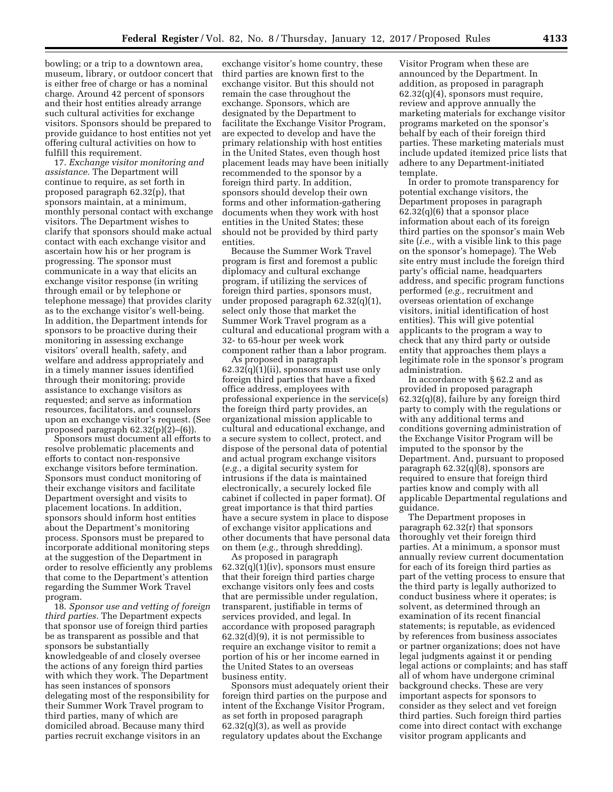bowling; or a trip to a downtown area, museum, library, or outdoor concert that is either free of charge or has a nominal charge. Around 42 percent of sponsors and their host entities already arrange such cultural activities for exchange visitors. Sponsors should be prepared to provide guidance to host entities not yet offering cultural activities on how to fulfill this requirement.

17. *Exchange visitor monitoring and assistance.* The Department will continue to require, as set forth in proposed paragraph 62.32(p), that sponsors maintain, at a minimum, monthly personal contact with exchange visitors. The Department wishes to clarify that sponsors should make actual contact with each exchange visitor and ascertain how his or her program is progressing. The sponsor must communicate in a way that elicits an exchange visitor response (in writing through email or by telephone or telephone message) that provides clarity as to the exchange visitor's well-being. In addition, the Department intends for sponsors to be proactive during their monitoring in assessing exchange visitors' overall health, safety, and welfare and address appropriately and in a timely manner issues identified through their monitoring; provide assistance to exchange visitors as requested; and serve as information resources, facilitators, and counselors upon an exchange visitor's request. (See proposed paragraph  $62.32(p)(2)$ – $(6)$ ).

Sponsors must document all efforts to resolve problematic placements and efforts to contact non-responsive exchange visitors before termination. Sponsors must conduct monitoring of their exchange visitors and facilitate Department oversight and visits to placement locations. In addition, sponsors should inform host entities about the Department's monitoring process. Sponsors must be prepared to incorporate additional monitoring steps at the suggestion of the Department in order to resolve efficiently any problems that come to the Department's attention regarding the Summer Work Travel program.

18. *Sponsor use and vetting of foreign third parties.* The Department expects that sponsor use of foreign third parties be as transparent as possible and that sponsors be substantially knowledgeable of and closely oversee the actions of any foreign third parties with which they work. The Department has seen instances of sponsors delegating most of the responsibility for their Summer Work Travel program to third parties, many of which are domiciled abroad. Because many third parties recruit exchange visitors in an

exchange visitor's home country, these third parties are known first to the exchange visitor. But this should not remain the case throughout the exchange. Sponsors, which are designated by the Department to facilitate the Exchange Visitor Program, are expected to develop and have the primary relationship with host entities in the United States, even though host placement leads may have been initially recommended to the sponsor by a foreign third party. In addition, sponsors should develop their own forms and other information-gathering documents when they work with host entities in the United States; these should not be provided by third party entities.

Because the Summer Work Travel program is first and foremost a public diplomacy and cultural exchange program, if utilizing the services of foreign third parties, sponsors must, under proposed paragraph 62.32(q)(1), select only those that market the Summer Work Travel program as a cultural and educational program with a 32- to 65-hour per week work component rather than a labor program.

As proposed in paragraph  $62.32(q)(1)(ii)$ , sponsors must use only foreign third parties that have a fixed office address, employees with professional experience in the service(s) the foreign third party provides, an organizational mission applicable to cultural and educational exchange, and a secure system to collect, protect, and dispose of the personal data of potential and actual program exchange visitors (*e.g.,* a digital security system for intrusions if the data is maintained electronically, a securely locked file cabinet if collected in paper format). Of great importance is that third parties have a secure system in place to dispose of exchange visitor applications and other documents that have personal data on them (*e.g.,* through shredding).

As proposed in paragraph  $62.32(q)(1)(iv)$ , sponsors must ensure that their foreign third parties charge exchange visitors only fees and costs that are permissible under regulation, transparent, justifiable in terms of services provided, and legal. In accordance with proposed paragraph 62.32(d)(9), it is not permissible to require an exchange visitor to remit a portion of his or her income earned in the United States to an overseas business entity.

Sponsors must adequately orient their foreign third parties on the purpose and intent of the Exchange Visitor Program, as set forth in proposed paragraph  $62.32(q)(3)$ , as well as provide regulatory updates about the Exchange

Visitor Program when these are announced by the Department. In addition, as proposed in paragraph 62.32(q)(4), sponsors must require, review and approve annually the marketing materials for exchange visitor programs marketed on the sponsor's behalf by each of their foreign third parties. These marketing materials must include updated itemized price lists that adhere to any Department-initiated template.

In order to promote transparency for potential exchange visitors, the Department proposes in paragraph  $62.32(q)(6)$  that a sponsor place information about each of its foreign third parties on the sponsor's main Web site (*i.e.,* with a visible link to this page on the sponsor's homepage). The Web site entry must include the foreign third party's official name, headquarters address, and specific program functions performed (*e.g.,* recruitment and overseas orientation of exchange visitors, initial identification of host entities). This will give potential applicants to the program a way to check that any third party or outside entity that approaches them plays a legitimate role in the sponsor's program administration.

In accordance with § 62.2 and as provided in proposed paragraph 62.32(q)(8), failure by any foreign third party to comply with the regulations or with any additional terms and conditions governing administration of the Exchange Visitor Program will be imputed to the sponsor by the Department. And, pursuant to proposed paragraph 62.32(q)(8), sponsors are required to ensure that foreign third parties know and comply with all applicable Departmental regulations and guidance.

The Department proposes in paragraph 62.32(r) that sponsors thoroughly vet their foreign third parties. At a minimum, a sponsor must annually review current documentation for each of its foreign third parties as part of the vetting process to ensure that the third party is legally authorized to conduct business where it operates; is solvent, as determined through an examination of its recent financial statements; is reputable, as evidenced by references from business associates or partner organizations; does not have legal judgments against it or pending legal actions or complaints; and has staff all of whom have undergone criminal background checks. These are very important aspects for sponsors to consider as they select and vet foreign third parties. Such foreign third parties come into direct contact with exchange visitor program applicants and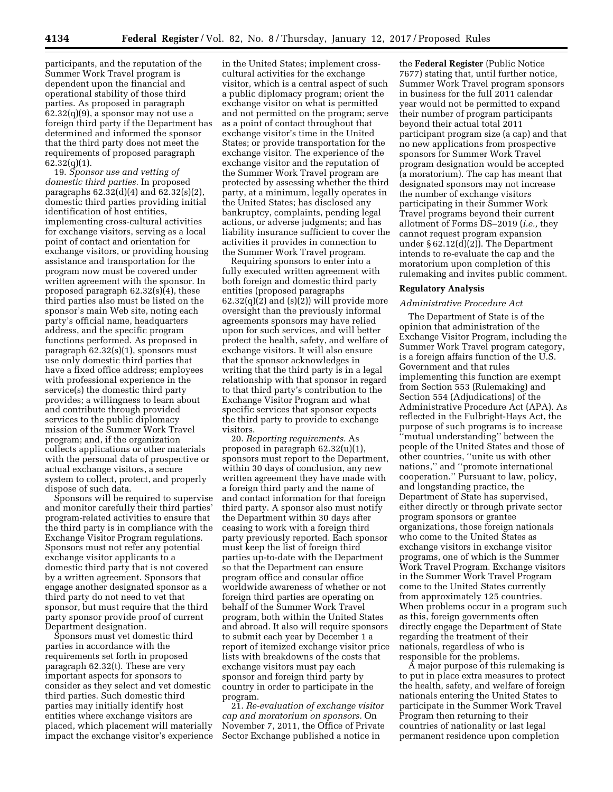participants, and the reputation of the Summer Work Travel program is dependent upon the financial and operational stability of those third parties. As proposed in paragraph  $62.32(q)(9)$ , a sponsor may not use a foreign third party if the Department has determined and informed the sponsor that the third party does not meet the requirements of proposed paragraph 62.32(q)(1).

19. *Sponsor use and vetting of domestic third parties.* In proposed paragraphs 62.32(d)(4) and 62.32(s)(2), domestic third parties providing initial identification of host entities, implementing cross-cultural activities for exchange visitors, serving as a local point of contact and orientation for exchange visitors, or providing housing assistance and transportation for the program now must be covered under written agreement with the sponsor. In proposed paragraph  $62.32(s)(4)$ , these third parties also must be listed on the sponsor's main Web site, noting each party's official name, headquarters address, and the specific program functions performed. As proposed in paragraph 62.32(s)(1), sponsors must use only domestic third parties that have a fixed office address; employees with professional experience in the service(s) the domestic third party provides; a willingness to learn about and contribute through provided services to the public diplomacy mission of the Summer Work Travel program; and, if the organization collects applications or other materials with the personal data of prospective or actual exchange visitors, a secure system to collect, protect, and properly dispose of such data.

Sponsors will be required to supervise and monitor carefully their third parties' program-related activities to ensure that the third party is in compliance with the Exchange Visitor Program regulations. Sponsors must not refer any potential exchange visitor applicants to a domestic third party that is not covered by a written agreement. Sponsors that engage another designated sponsor as a third party do not need to vet that sponsor, but must require that the third party sponsor provide proof of current Department designation.

Sponsors must vet domestic third parties in accordance with the requirements set forth in proposed paragraph 62.32(t). These are very important aspects for sponsors to consider as they select and vet domestic third parties. Such domestic third parties may initially identify host entities where exchange visitors are placed, which placement will materially impact the exchange visitor's experience

in the United States; implement crosscultural activities for the exchange visitor, which is a central aspect of such a public diplomacy program; orient the exchange visitor on what is permitted and not permitted on the program; serve as a point of contact throughout that exchange visitor's time in the United States; or provide transportation for the exchange visitor. The experience of the exchange visitor and the reputation of the Summer Work Travel program are protected by assessing whether the third party, at a minimum, legally operates in the United States; has disclosed any bankruptcy, complaints, pending legal actions, or adverse judgments; and has liability insurance sufficient to cover the activities it provides in connection to the Summer Work Travel program.

Requiring sponsors to enter into a fully executed written agreement with both foreign and domestic third party entities (proposed paragraphs  $62.32(q)(2)$  and  $(s)(2)$ ) will provide more oversight than the previously informal agreements sponsors may have relied upon for such services, and will better protect the health, safety, and welfare of exchange visitors. It will also ensure that the sponsor acknowledges in writing that the third party is in a legal relationship with that sponsor in regard to that third party's contribution to the Exchange Visitor Program and what specific services that sponsor expects the third party to provide to exchange visitors.

20. *Reporting requirements.* As proposed in paragraph 62.32(u)(1), sponsors must report to the Department, within 30 days of conclusion, any new written agreement they have made with a foreign third party and the name of and contact information for that foreign third party. A sponsor also must notify the Department within 30 days after ceasing to work with a foreign third party previously reported. Each sponsor must keep the list of foreign third parties up-to-date with the Department so that the Department can ensure program office and consular office worldwide awareness of whether or not foreign third parties are operating on behalf of the Summer Work Travel program, both within the United States and abroad. It also will require sponsors to submit each year by December 1 a report of itemized exchange visitor price lists with breakdowns of the costs that exchange visitors must pay each sponsor and foreign third party by country in order to participate in the program.

21. *Re-evaluation of exchange visitor cap and moratorium on sponsors.* On November 7, 2011, the Office of Private Sector Exchange published a notice in

the **Federal Register** (Public Notice 7677) stating that, until further notice, Summer Work Travel program sponsors in business for the full 2011 calendar year would not be permitted to expand their number of program participants beyond their actual total 2011 participant program size (a cap) and that no new applications from prospective sponsors for Summer Work Travel program designation would be accepted (a moratorium). The cap has meant that designated sponsors may not increase the number of exchange visitors participating in their Summer Work Travel programs beyond their current allotment of Forms DS–2019 (*i.e.,* they cannot request program expansion under § 62.12(d)(2)). The Department intends to re-evaluate the cap and the moratorium upon completion of this rulemaking and invites public comment.

#### **Regulatory Analysis**

#### *Administrative Procedure Act*

The Department of State is of the opinion that administration of the Exchange Visitor Program, including the Summer Work Travel program category, is a foreign affairs function of the U.S. Government and that rules implementing this function are exempt from Section 553 (Rulemaking) and Section 554 (Adjudications) of the Administrative Procedure Act (APA). As reflected in the Fulbright-Hays Act, the purpose of such programs is to increase ''mutual understanding'' between the people of the United States and those of other countries, ''unite us with other nations,'' and ''promote international cooperation.'' Pursuant to law, policy, and longstanding practice, the Department of State has supervised, either directly or through private sector program sponsors or grantee organizations, those foreign nationals who come to the United States as exchange visitors in exchange visitor programs, one of which is the Summer Work Travel Program. Exchange visitors in the Summer Work Travel Program come to the United States currently from approximately 125 countries. When problems occur in a program such as this, foreign governments often directly engage the Department of State regarding the treatment of their nationals, regardless of who is responsible for the problems.

A major purpose of this rulemaking is to put in place extra measures to protect the health, safety, and welfare of foreign nationals entering the United States to participate in the Summer Work Travel Program then returning to their countries of nationality or last legal permanent residence upon completion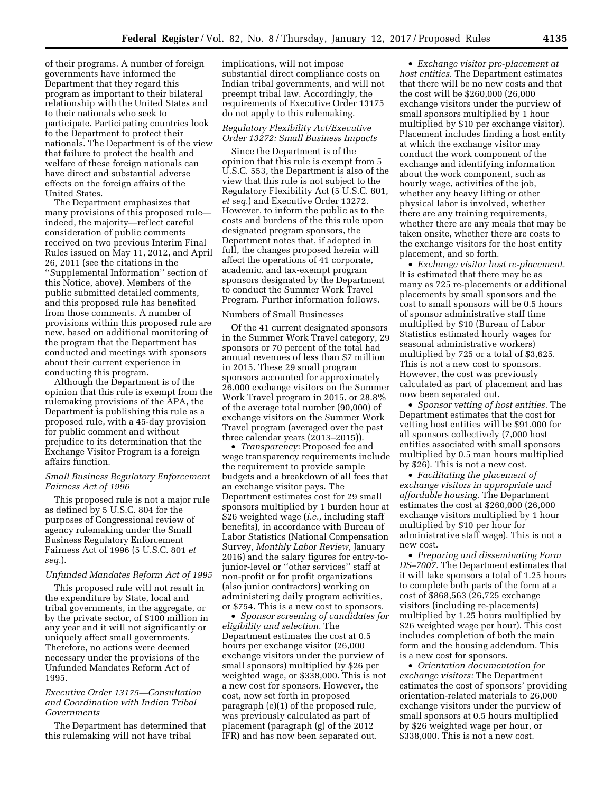of their programs. A number of foreign governments have informed the Department that they regard this program as important to their bilateral relationship with the United States and to their nationals who seek to participate. Participating countries look to the Department to protect their nationals. The Department is of the view that failure to protect the health and welfare of these foreign nationals can have direct and substantial adverse effects on the foreign affairs of the United States.

The Department emphasizes that many provisions of this proposed rule indeed, the majority—reflect careful consideration of public comments received on two previous Interim Final Rules issued on May 11, 2012, and April 26, 2011 (see the citations in the ''Supplemental Information'' section of this Notice, above). Members of the public submitted detailed comments, and this proposed rule has benefited from those comments. A number of provisions within this proposed rule are new, based on additional monitoring of the program that the Department has conducted and meetings with sponsors about their current experience in conducting this program.

Although the Department is of the opinion that this rule is exempt from the rulemaking provisions of the APA, the Department is publishing this rule as a proposed rule, with a 45-day provision for public comment and without prejudice to its determination that the Exchange Visitor Program is a foreign affairs function.

### *Small Business Regulatory Enforcement Fairness Act of 1996*

This proposed rule is not a major rule as defined by 5 U.S.C. 804 for the purposes of Congressional review of agency rulemaking under the Small Business Regulatory Enforcement Fairness Act of 1996 (5 U.S.C. 801 *et seq.*).

#### *Unfunded Mandates Reform Act of 1995*

This proposed rule will not result in the expenditure by State, local and tribal governments, in the aggregate, or by the private sector, of \$100 million in any year and it will not significantly or uniquely affect small governments. Therefore, no actions were deemed necessary under the provisions of the Unfunded Mandates Reform Act of 1995.

### *Executive Order 13175—Consultation and Coordination with Indian Tribal Governments*

The Department has determined that this rulemaking will not have tribal

implications, will not impose substantial direct compliance costs on Indian tribal governments, and will not preempt tribal law. Accordingly, the requirements of Executive Order 13175 do not apply to this rulemaking.

## *Regulatory Flexibility Act/Executive Order 13272: Small Business Impacts*

Since the Department is of the opinion that this rule is exempt from 5 U.S.C. 553, the Department is also of the view that this rule is not subject to the Regulatory Flexibility Act (5 U.S.C. 601, *et seq.*) and Executive Order 13272. However, to inform the public as to the costs and burdens of the this rule upon designated program sponsors, the Department notes that, if adopted in full, the changes proposed herein will affect the operations of 41 corporate, academic, and tax-exempt program sponsors designated by the Department to conduct the Summer Work Travel Program. Further information follows.

#### Numbers of Small Businesses

Of the 41 current designated sponsors in the Summer Work Travel category, 29 sponsors or 70 percent of the total had annual revenues of less than \$7 million in 2015. These 29 small program sponsors accounted for approximately 26,000 exchange visitors on the Summer Work Travel program in 2015, or 28.8% of the average total number (90,000) of exchange visitors on the Summer Work Travel program (averaged over the past three calendar years (2013–2015)).

• *Transparency:* Proposed fee and wage transparency requirements include the requirement to provide sample budgets and a breakdown of all fees that an exchange visitor pays. The Department estimates cost for 29 small sponsors multiplied by 1 burden hour at \$26 weighted wage (*i.e.,* including staff benefits), in accordance with Bureau of Labor Statistics (National Compensation Survey, *Monthly Labor Review,* January 2016) and the salary figures for entry-tojunior-level or ''other services'' staff at non-profit or for profit organizations (also junior contractors) working on administering daily program activities, or \$754. This is a new cost to sponsors.

• *Sponsor screening of candidates for eligibility and selection.* The Department estimates the cost at 0.5 hours per exchange visitor (26,000 exchange visitors under the purview of small sponsors) multiplied by \$26 per weighted wage, or \$338,000. This is not a new cost for sponsors. However, the cost, now set forth in proposed paragraph (e)(1) of the proposed rule, was previously calculated as part of placement (paragraph (g) of the 2012 IFR) and has now been separated out.

• *Exchange visitor pre-placement at host entities.* The Department estimates that there will be no new costs and that the cost will be \$260,000 (26,000 exchange visitors under the purview of small sponsors multiplied by 1 hour multiplied by \$10 per exchange visitor). Placement includes finding a host entity at which the exchange visitor may conduct the work component of the exchange and identifying information about the work component, such as hourly wage, activities of the job, whether any heavy lifting or other physical labor is involved, whether there are any training requirements, whether there are any meals that may be taken onsite, whether there are costs to the exchange visitors for the host entity placement, and so forth.

• *Exchange visitor host re-placement.*  It is estimated that there may be as many as 725 re-placements or additional placements by small sponsors and the cost to small sponsors will be 0.5 hours of sponsor administrative staff time multiplied by \$10 (Bureau of Labor Statistics estimated hourly wages for seasonal administrative workers) multiplied by 725 or a total of \$3,625. This is not a new cost to sponsors. However, the cost was previously calculated as part of placement and has now been separated out.

• *Sponsor vetting of host entities.* The Department estimates that the cost for vetting host entities will be \$91,000 for all sponsors collectively (7,000 host entities associated with small sponsors multiplied by 0.5 man hours multiplied by \$26). This is not a new cost.

• *Facilitating the placement of exchange visitors in appropriate and affordable housing.* The Department estimates the cost at \$260,000 (26,000 exchange visitors multiplied by 1 hour multiplied by \$10 per hour for administrative staff wage). This is not a new cost.

• *Preparing and disseminating Form DS–7007.* The Department estimates that it will take sponsors a total of 1.25 hours to complete both parts of the form at a cost of \$868,563 (26,725 exchange visitors (including re-placements) multiplied by 1.25 hours multiplied by \$26 weighted wage per hour). This cost includes completion of both the main form and the housing addendum. This is a new cost for sponsors.

• *Orientation documentation for exchange visitors:* The Department estimates the cost of sponsors' providing orientation-related materials to 26,000 exchange visitors under the purview of small sponsors at 0.5 hours multiplied by \$26 weighted wage per hour, or \$338,000. This is not a new cost.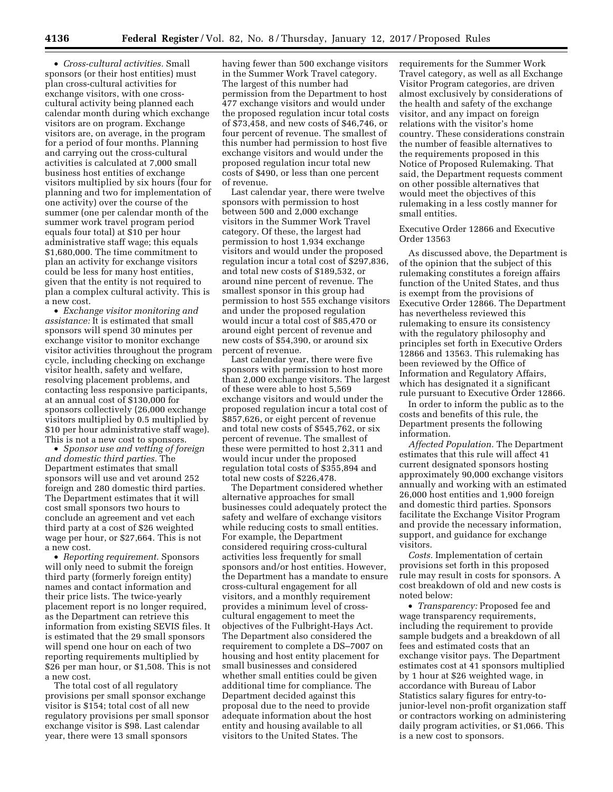• *Cross-cultural activities.* Small sponsors (or their host entities) must plan cross-cultural activities for exchange visitors, with one crosscultural activity being planned each calendar month during which exchange visitors are on program. Exchange visitors are, on average, in the program for a period of four months. Planning and carrying out the cross-cultural activities is calculated at 7,000 small business host entities of exchange visitors multiplied by six hours (four for planning and two for implementation of one activity) over the course of the summer (one per calendar month of the summer work travel program period equals four total) at \$10 per hour administrative staff wage; this equals \$1,680,000. The time commitment to plan an activity for exchange visitors could be less for many host entities, given that the entity is not required to plan a complex cultural activity. This is a new cost.

• *Exchange visitor monitoring and assistance:* It is estimated that small sponsors will spend 30 minutes per exchange visitor to monitor exchange visitor activities throughout the program cycle, including checking on exchange visitor health, safety and welfare, resolving placement problems, and contacting less responsive participants, at an annual cost of \$130,000 for sponsors collectively (26,000 exchange visitors multiplied by 0.5 multiplied by \$10 per hour administrative staff wage). This is not a new cost to sponsors.

• *Sponsor use and vetting of foreign and domestic third parties.* The Department estimates that small sponsors will use and vet around 252 foreign and 280 domestic third parties. The Department estimates that it will cost small sponsors two hours to conclude an agreement and vet each third party at a cost of \$26 weighted wage per hour, or \$27,664. This is not a new cost.

• *Reporting requirement.* Sponsors will only need to submit the foreign third party (formerly foreign entity) names and contact information and their price lists. The twice-yearly placement report is no longer required, as the Department can retrieve this information from existing SEVIS files. It is estimated that the 29 small sponsors will spend one hour on each of two reporting requirements multiplied by \$26 per man hour, or \$1,508. This is not a new cost.

The total cost of all regulatory provisions per small sponsor exchange visitor is \$154; total cost of all new regulatory provisions per small sponsor exchange visitor is \$98. Last calendar year, there were 13 small sponsors

having fewer than 500 exchange visitors in the Summer Work Travel category. The largest of this number had permission from the Department to host 477 exchange visitors and would under the proposed regulation incur total costs of \$73,458, and new costs of \$46,746, or four percent of revenue. The smallest of this number had permission to host five exchange visitors and would under the proposed regulation incur total new costs of \$490, or less than one percent of revenue.

Last calendar year, there were twelve sponsors with permission to host between 500 and 2,000 exchange visitors in the Summer Work Travel category. Of these, the largest had permission to host 1,934 exchange visitors and would under the proposed regulation incur a total cost of \$297,836, and total new costs of \$189,532, or around nine percent of revenue. The smallest sponsor in this group had permission to host 555 exchange visitors and under the proposed regulation would incur a total cost of \$85,470 or around eight percent of revenue and new costs of \$54,390, or around six percent of revenue.

Last calendar year, there were five sponsors with permission to host more than 2,000 exchange visitors. The largest of these were able to host 5,569 exchange visitors and would under the proposed regulation incur a total cost of \$857,626, or eight percent of revenue and total new costs of \$545,762, or six percent of revenue. The smallest of these were permitted to host 2,311 and would incur under the proposed regulation total costs of \$355,894 and total new costs of \$226,478.

The Department considered whether alternative approaches for small businesses could adequately protect the safety and welfare of exchange visitors while reducing costs to small entities. For example, the Department considered requiring cross-cultural activities less frequently for small sponsors and/or host entities. However, the Department has a mandate to ensure cross-cultural engagement for all visitors, and a monthly requirement provides a minimum level of crosscultural engagement to meet the objectives of the Fulbright-Hays Act. The Department also considered the requirement to complete a DS–7007 on housing and host entity placement for small businesses and considered whether small entities could be given additional time for compliance. The Department decided against this proposal due to the need to provide adequate information about the host entity and housing available to all visitors to the United States. The

requirements for the Summer Work Travel category, as well as all Exchange Visitor Program categories, are driven almost exclusively by considerations of the health and safety of the exchange visitor, and any impact on foreign relations with the visitor's home country. These considerations constrain the number of feasible alternatives to the requirements proposed in this Notice of Proposed Rulemaking. That said, the Department requests comment on other possible alternatives that would meet the objectives of this rulemaking in a less costly manner for small entities.

Executive Order 12866 and Executive Order 13563

As discussed above, the Department is of the opinion that the subject of this rulemaking constitutes a foreign affairs function of the United States, and thus is exempt from the provisions of Executive Order 12866. The Department has nevertheless reviewed this rulemaking to ensure its consistency with the regulatory philosophy and principles set forth in Executive Orders 12866 and 13563. This rulemaking has been reviewed by the Office of Information and Regulatory Affairs, which has designated it a significant rule pursuant to Executive Order 12866.

In order to inform the public as to the costs and benefits of this rule, the Department presents the following information.

*Affected Population.* The Department estimates that this rule will affect 41 current designated sponsors hosting approximately 90,000 exchange visitors annually and working with an estimated 26,000 host entities and 1,900 foreign and domestic third parties. Sponsors facilitate the Exchange Visitor Program and provide the necessary information, support, and guidance for exchange visitors.

*Costs.* Implementation of certain provisions set forth in this proposed rule may result in costs for sponsors. A cost breakdown of old and new costs is noted below:

• *Transparency:* Proposed fee and wage transparency requirements, including the requirement to provide sample budgets and a breakdown of all fees and estimated costs that an exchange visitor pays. The Department estimates cost at 41 sponsors multiplied by 1 hour at \$26 weighted wage, in accordance with Bureau of Labor Statistics salary figures for entry-tojunior-level non-profit organization staff or contractors working on administering daily program activities, or \$1,066. This is a new cost to sponsors.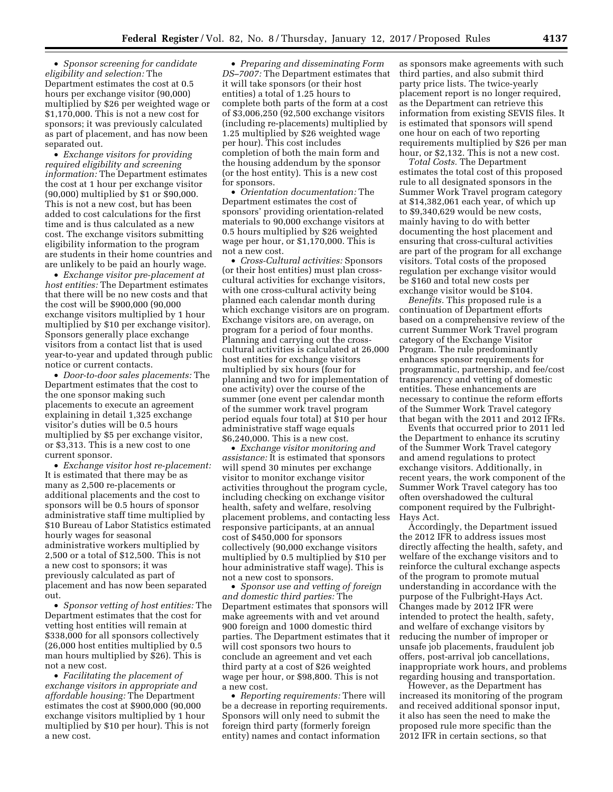• *Sponsor screening for candidate eligibility and selection:* The Department estimates the cost at 0.5 hours per exchange visitor (90,000) multiplied by \$26 per weighted wage or \$1,170,000. This is not a new cost for sponsors; it was previously calculated as part of placement, and has now been separated out.

• *Exchange visitors for providing required eligibility and screening information:* The Department estimates the cost at 1 hour per exchange visitor (90,000) multiplied by \$1 or \$90,000. This is not a new cost, but has been added to cost calculations for the first time and is thus calculated as a new cost. The exchange visitors submitting eligibility information to the program are students in their home countries and are unlikely to be paid an hourly wage.

• *Exchange visitor pre-placement at host entities:* The Department estimates that there will be no new costs and that the cost will be \$900,000 (90,000 exchange visitors multiplied by 1 hour multiplied by \$10 per exchange visitor). Sponsors generally place exchange visitors from a contact list that is used year-to-year and updated through public notice or current contacts.

• *Door-to-door sales placements:* The Department estimates that the cost to the one sponsor making such placements to execute an agreement explaining in detail 1,325 exchange visitor's duties will be 0.5 hours multiplied by \$5 per exchange visitor, or \$3,313. This is a new cost to one current sponsor.

• *Exchange visitor host re-placement:*  It is estimated that there may be as many as 2,500 re-placements or additional placements and the cost to sponsors will be 0.5 hours of sponsor administrative staff time multiplied by \$10 Bureau of Labor Statistics estimated hourly wages for seasonal administrative workers multiplied by 2,500 or a total of \$12,500. This is not a new cost to sponsors; it was previously calculated as part of placement and has now been separated out.

• *Sponsor vetting of host entities:* The Department estimates that the cost for vetting host entities will remain at \$338,000 for all sponsors collectively (26,000 host entities multiplied by 0.5 man hours multiplied by \$26). This is not a new cost.

• *Facilitating the placement of exchange visitors in appropriate and affordable housing:* The Department estimates the cost at \$900,000 (90,000 exchange visitors multiplied by 1 hour multiplied by \$10 per hour). This is not a new cost.

• *Preparing and disseminating Form DS–7007:* The Department estimates that it will take sponsors (or their host entities) a total of 1.25 hours to complete both parts of the form at a cost of \$3,006,250 (92,500 exchange visitors (including re-placements) multiplied by 1.25 multiplied by \$26 weighted wage per hour). This cost includes completion of both the main form and the housing addendum by the sponsor (or the host entity). This is a new cost for sponsors.

• *Orientation documentation:* The Department estimates the cost of sponsors' providing orientation-related materials to 90,000 exchange visitors at 0.5 hours multiplied by \$26 weighted wage per hour, or \$1,170,000. This is not a new cost.

• *Cross-Cultural activities:* Sponsors (or their host entities) must plan crosscultural activities for exchange visitors, with one cross-cultural activity being planned each calendar month during which exchange visitors are on program. Exchange visitors are, on average, on program for a period of four months. Planning and carrying out the crosscultural activities is calculated at 26,000 host entities for exchange visitors multiplied by six hours (four for planning and two for implementation of one activity) over the course of the summer (one event per calendar month of the summer work travel program period equals four total) at \$10 per hour administrative staff wage equals \$6,240,000. This is a new cost.

• *Exchange visitor monitoring and assistance:* It is estimated that sponsors will spend 30 minutes per exchange visitor to monitor exchange visitor activities throughout the program cycle, including checking on exchange visitor health, safety and welfare, resolving placement problems, and contacting less responsive participants, at an annual cost of \$450,000 for sponsors collectively (90,000 exchange visitors multiplied by 0.5 multiplied by \$10 per hour administrative staff wage). This is not a new cost to sponsors.

• *Sponsor use and vetting of foreign and domestic third parties:* The Department estimates that sponsors will make agreements with and vet around 900 foreign and 1000 domestic third parties. The Department estimates that it will cost sponsors two hours to conclude an agreement and vet each third party at a cost of \$26 weighted wage per hour, or \$98,800. This is not a new cost.

• *Reporting requirements:* There will be a decrease in reporting requirements. Sponsors will only need to submit the foreign third party (formerly foreign entity) names and contact information

as sponsors make agreements with such third parties, and also submit third party price lists. The twice-yearly placement report is no longer required, as the Department can retrieve this information from existing SEVIS files. It is estimated that sponsors will spend one hour on each of two reporting requirements multiplied by \$26 per man hour, or \$2,132. This is not a new cost.

*Total Costs.* The Department estimates the total cost of this proposed rule to all designated sponsors in the Summer Work Travel program category at \$14,382,061 each year, of which up to \$9,340,629 would be new costs, mainly having to do with better documenting the host placement and ensuring that cross-cultural activities are part of the program for all exchange visitors. Total costs of the proposed regulation per exchange visitor would be \$160 and total new costs per exchange visitor would be \$104.

*Benefits.* This proposed rule is a continuation of Department efforts based on a comprehensive review of the current Summer Work Travel program category of the Exchange Visitor Program. The rule predominantly enhances sponsor requirements for programmatic, partnership, and fee/cost transparency and vetting of domestic entities. These enhancements are necessary to continue the reform efforts of the Summer Work Travel category that began with the 2011 and 2012 IFRs.

Events that occurred prior to 2011 led the Department to enhance its scrutiny of the Summer Work Travel category and amend regulations to protect exchange visitors. Additionally, in recent years, the work component of the Summer Work Travel category has too often overshadowed the cultural component required by the Fulbright-Hays Act.

Accordingly, the Department issued the 2012 IFR to address issues most directly affecting the health, safety, and welfare of the exchange visitors and to reinforce the cultural exchange aspects of the program to promote mutual understanding in accordance with the purpose of the Fulbright-Hays Act. Changes made by 2012 IFR were intended to protect the health, safety, and welfare of exchange visitors by reducing the number of improper or unsafe job placements, fraudulent job offers, post-arrival job cancellations, inappropriate work hours, and problems regarding housing and transportation.

However, as the Department has increased its monitoring of the program and received additional sponsor input, it also has seen the need to make the proposed rule more specific than the 2012 IFR in certain sections, so that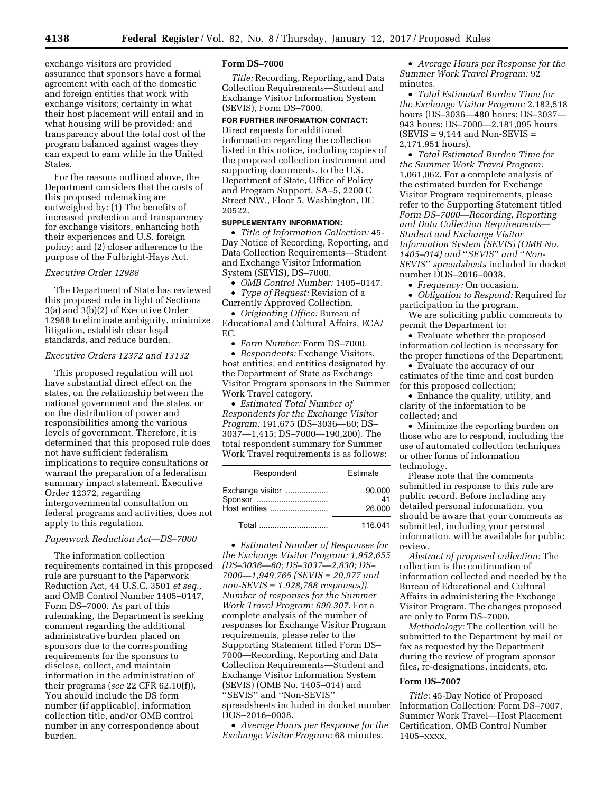exchange visitors are provided assurance that sponsors have a formal agreement with each of the domestic and foreign entities that work with exchange visitors; certainty in what their host placement will entail and in what housing will be provided; and transparency about the total cost of the program balanced against wages they can expect to earn while in the United States.

For the reasons outlined above, the Department considers that the costs of this proposed rulemaking are outweighed by: (1) The benefits of increased protection and transparency for exchange visitors, enhancing both their experiences and U.S. foreign policy; and (2) closer adherence to the purpose of the Fulbright-Hays Act.

# *Executive Order 12988*

The Department of State has reviewed this proposed rule in light of Sections 3(a) and 3(b)(2) of Executive Order 12988 to eliminate ambiguity, minimize litigation, establish clear legal standards, and reduce burden.

## *Executive Orders 12372 and 13132*

This proposed regulation will not have substantial direct effect on the states, on the relationship between the national government and the states, or on the distribution of power and responsibilities among the various levels of government. Therefore, it is determined that this proposed rule does not have sufficient federalism implications to require consultations or warrant the preparation of a federalism summary impact statement. Executive Order 12372, regarding intergovernmental consultation on federal programs and activities, does not apply to this regulation.

#### *Paperwork Reduction Act—DS–7000*

The information collection requirements contained in this proposed rule are pursuant to the Paperwork Reduction Act, 44 U.S.C. 3501 *et seq.,*  and OMB Control Number 1405–0147, Form DS–7000. As part of this rulemaking, the Department is seeking comment regarding the additional administrative burden placed on sponsors due to the corresponding requirements for the sponsors to disclose, collect, and maintain information in the administration of their programs (*see* 22 CFR 62.10(f)). You should include the DS form number (if applicable), information collection title, and/or OMB control number in any correspondence about burden.

#### **Form DS–7000**

*Title:* Recording, Reporting, and Data Collection Requirements—Student and Exchange Visitor Information System (SEVIS), Form DS–7000.

# **FOR FURTHER INFORMATION CONTACT:**

Direct requests for additional information regarding the collection listed in this notice, including copies of the proposed collection instrument and supporting documents, to the U.S. Department of State, Office of Policy and Program Support, SA–5, 2200 C Street NW., Floor 5, Washington, DC 20522.

### **SUPPLEMENTARY INFORMATION:**

• *Title of Information Collection:* 45- Day Notice of Recording, Reporting, and Data Collection Requirements—Student and Exchange Visitor Information System (SEVIS), DS–7000.

• *OMB Control Number:* 1405–0147.

• *Type of Request:* Revision of a Currently Approved Collection.

• *Originating Office:* Bureau of Educational and Cultural Affairs, ECA/ EC.

• *Form Number:* Form DS–7000.

• *Respondents:* Exchange Visitors, host entities, and entities designated by the Department of State as Exchange Visitor Program sponsors in the Summer Work Travel category.

• *Estimated Total Number of Respondents for the Exchange Visitor Program:* 191,675 (DS–3036—60; DS– 3037—1,415; DS–7000—190,200). The total respondent summary for Summer Work Travel requirements is as follows:

| Respondent                                   | Estimate               |
|----------------------------------------------|------------------------|
| Exchange visitor<br>Sponsor<br>Host entities | 90,000<br>41<br>26,000 |
|                                              | 116.041                |

• *Estimated Number of Responses for the Exchange Visitor Program: 1,952,655 (DS–3036—60; DS–3037—2,830; DS– 7000—1,949,765 (SEVIS = 20,977 and non-SEVIS = 1,928,788 responses)). Number of responses for the Summer Work Travel Program: 690,307.* For a complete analysis of the number of responses for Exchange Visitor Program requirements, please refer to the Supporting Statement titled Form DS– 7000—Recording, Reporting and Data Collection Requirements—Student and Exchange Visitor Information System (SEVIS) (OMB No. 1405–014) and ''SEVIS'' and ''Non-SEVIS'' spreadsheets included in docket number DOS–2016–0038.

• *Average Hours per Response for the Exchange Visitor Program:* 68 minutes.

• *Average Hours per Response for the Summer Work Travel Program:* 92 minutes.

• *Total Estimated Burden Time for the Exchange Visitor Program:* 2,182,518 hours (DS–3036—480 hours; DS–3037— 943 hours; DS–7000—2,181,095 hours  $(SEVIS = 9,144$  and Non-SEVIS = 2,171,951 hours).

• *Total Estimated Burden Time for the Summer Work Travel Program:*  1,061,062. For a complete analysis of the estimated burden for Exchange Visitor Program requirements, please refer to the Supporting Statement titled *Form DS–7000—Recording, Reporting and Data Collection Requirements— Student and Exchange Visitor Information System (SEVIS) (OMB No. 1405–014) and* ''*SEVIS*'' *and* ''*Non-SEVIS*'' *spreadsheets* included in docket number DOS–2016–0038.

• *Frequency:* On occasion.

• *Obligation to Respond:* Required for participation in the program.

We are soliciting public comments to permit the Department to:

• Evaluate whether the proposed information collection is necessary for the proper functions of the Department;

• Evaluate the accuracy of our estimates of the time and cost burden for this proposed collection;

• Enhance the quality, utility, and clarity of the information to be collected; and

• Minimize the reporting burden on those who are to respond, including the use of automated collection techniques or other forms of information technology.

Please note that the comments submitted in response to this rule are public record. Before including any detailed personal information, you should be aware that your comments as submitted, including your personal information, will be available for public review.

*Abstract of proposed collection:* The collection is the continuation of information collected and needed by the Bureau of Educational and Cultural Affairs in administering the Exchange Visitor Program. The changes proposed are only to Form DS–7000.

*Methodology:* The collection will be submitted to the Department by mail or fax as requested by the Department during the review of program sponsor files, re-designations, incidents, etc.

### **Form DS–7007**

*Title:* 45-Day Notice of Proposed Information Collection: Form DS–7007, Summer Work Travel—Host Placement Certification, OMB Control Number 1405–xxxx.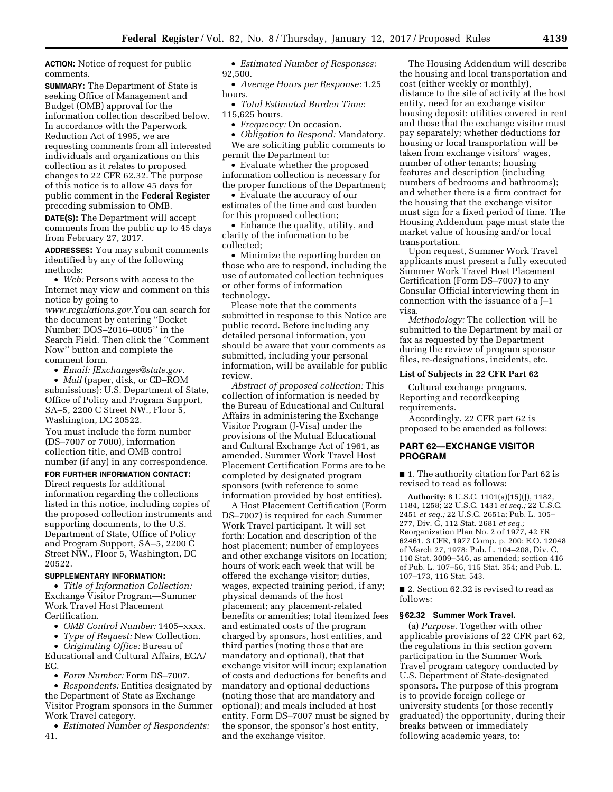**ACTION:** Notice of request for public comments.

**SUMMARY:** The Department of State is seeking Office of Management and Budget (OMB) approval for the information collection described below. In accordance with the Paperwork Reduction Act of 1995, we are requesting comments from all interested individuals and organizations on this collection as it relates to proposed changes to 22 CFR 62.32. The purpose of this notice is to allow 45 days for public comment in the **Federal Register**  preceding submission to OMB.

**DATE(S):** The Department will accept comments from the public up to 45 days from February 27, 2017.

**ADDRESSES:** You may submit comments identified by any of the following methods:

• *Web:* Persons with access to the Internet may view and comment on this notice by going to

*[www.regulations.gov.](http://www.regulations.gov)*You can search for the document by entering ''Docket Number: DOS–2016–0005'' in the Search Field. Then click the ''Comment Now'' button and complete the comment form.

• *Email: [JExchanges@state.gov.](mailto:JExchanges@state.gov)* 

• *Mail* (paper, disk, or CD–ROM submissions): U.S. Department of State, Office of Policy and Program Support, SA–5, 2200 C Street NW., Floor 5, Washington, DC 20522.

You must include the form number (DS–7007 or 7000), information collection title, and OMB control number (if any) in any correspondence.

## **FOR FURTHER INFORMATION CONTACT:**

Direct requests for additional information regarding the collections listed in this notice, including copies of the proposed collection instruments and supporting documents, to the U.S. Department of State, Office of Policy and Program Support, SA–5, 2200 C Street NW., Floor 5, Washington, DC 20522.

# **SUPPLEMENTARY INFORMATION:**

• *Title of Information Collection:*  Exchange Visitor Program—Summer Work Travel Host Placement Certification.

• *OMB Control Number:* 1405–xxxx.

• *Type of Request:* New Collection.

• *Originating Office:* Bureau of Educational and Cultural Affairs, ECA/ EC.

• *Form Number:* Form DS–7007.

• *Respondents:* Entities designated by the Department of State as Exchange Visitor Program sponsors in the Summer Work Travel category.

• *Estimated Number of Respondents:*  41.

• *Estimated Number of Responses:*  92,500.

• *Average Hours per Response:* 1.25 hours.

- *Total Estimated Burden Time:*  115,625 hours.
	- *Frequency:* On occasion.

• *Obligation to Respond:* Mandatory. We are soliciting public comments to permit the Department to:

• Evaluate whether the proposed information collection is necessary for the proper functions of the Department;

• Evaluate the accuracy of our estimates of the time and cost burden for this proposed collection;

• Enhance the quality, utility, and clarity of the information to be collected;

• Minimize the reporting burden on those who are to respond, including the use of automated collection techniques or other forms of information technology.

Please note that the comments submitted in response to this Notice are public record. Before including any detailed personal information, you should be aware that your comments as submitted, including your personal information, will be available for public review.

*Abstract of proposed collection:* This collection of information is needed by the Bureau of Educational and Cultural Affairs in administering the Exchange Visitor Program (J-Visa) under the provisions of the Mutual Educational and Cultural Exchange Act of 1961, as amended. Summer Work Travel Host Placement Certification Forms are to be completed by designated program sponsors (with reference to some information provided by host entities).

A Host Placement Certification (Form DS–7007) is required for each Summer Work Travel participant. It will set forth: Location and description of the host placement; number of employees and other exchange visitors on location; hours of work each week that will be offered the exchange visitor; duties, wages, expected training period, if any; physical demands of the host placement; any placement-related benefits or amenities; total itemized fees and estimated costs of the program charged by sponsors, host entities, and third parties (noting those that are mandatory and optional), that that exchange visitor will incur; explanation of costs and deductions for benefits and mandatory and optional deductions (noting those that are mandatory and optional); and meals included at host entity. Form DS–7007 must be signed by the sponsor, the sponsor's host entity, and the exchange visitor.

The Housing Addendum will describe the housing and local transportation and cost (either weekly or monthly), distance to the site of activity at the host entity, need for an exchange visitor housing deposit; utilities covered in rent and those that the exchange visitor must pay separately; whether deductions for housing or local transportation will be taken from exchange visitors' wages, number of other tenants; housing features and description (including numbers of bedrooms and bathrooms); and whether there is a firm contract for the housing that the exchange visitor must sign for a fixed period of time. The Housing Addendum page must state the market value of housing and/or local transportation.

Upon request, Summer Work Travel applicants must present a fully executed Summer Work Travel Host Placement Certification (Form DS–7007) to any Consular Official interviewing them in connection with the issuance of a J–1 visa.

*Methodology:* The collection will be submitted to the Department by mail or fax as requested by the Department during the review of program sponsor files, re-designations, incidents, etc.

### **List of Subjects in 22 CFR Part 62**

Cultural exchange programs, Reporting and recordkeeping requirements.

Accordingly, 22 CFR part 62 is proposed to be amended as follows:

## **PART 62—EXCHANGE VISITOR PROGRAM**

■ 1. The authority citation for Part 62 is revised to read as follows:

**Authority:** 8 U.S.C. 1101(a)(15)(J), 1182, 1184, 1258; 22 U.S.C. 1431 *et seq.;* 22 U.S.C. 2451 *et seq.;* 22 U.S.C. 2651a; Pub. L. 105– 277, Div. G, 112 Stat. 2681 *et seq.;*  Reorganization Plan No. 2 of 1977, 42 FR 62461, 3 CFR, 1977 Comp. p. 200; E.O. 12048 of March 27, 1978; Pub. L. 104–208, Div. C, 110 Stat. 3009–546, as amended; section 416 of Pub. L. 107–56, 115 Stat. 354; and Pub. L. 107–173, 116 Stat. 543.

■ 2. Section 62.32 is revised to read as follows:

### **§ 62.32 Summer Work Travel.**

(a) *Purpose.* Together with other applicable provisions of 22 CFR part 62, the regulations in this section govern participation in the Summer Work Travel program category conducted by U.S. Department of State-designated sponsors. The purpose of this program is to provide foreign college or university students (or those recently graduated) the opportunity, during their breaks between or immediately following academic years, to: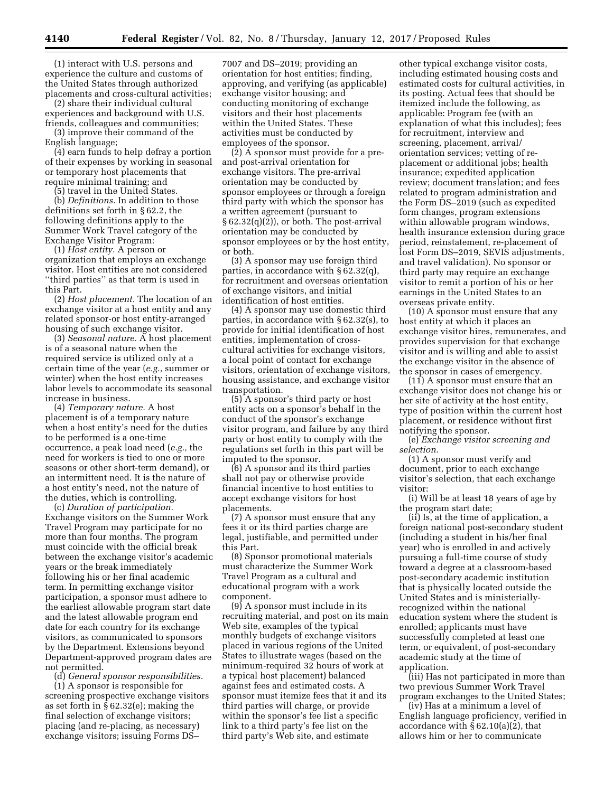(1) interact with U.S. persons and experience the culture and customs of the United States through authorized placements and cross-cultural activities;

(2) share their individual cultural experiences and background with U.S. friends, colleagues and communities;

(3) improve their command of the English language;

(4) earn funds to help defray a portion of their expenses by working in seasonal or temporary host placements that require minimal training; and

(5) travel in the United States.

(b) *Definitions.* In addition to those definitions set forth in § 62.2, the following definitions apply to the Summer Work Travel category of the Exchange Visitor Program:

(1) *Host entity.* A person or organization that employs an exchange visitor. Host entities are not considered ''third parties'' as that term is used in this Part.

(2) *Host placement.* The location of an exchange visitor at a host entity and any related sponsor-or host entity-arranged housing of such exchange visitor.

(3) *Seasonal nature.* A host placement is of a seasonal nature when the required service is utilized only at a certain time of the year (*e.g.,* summer or winter) when the host entity increases labor levels to accommodate its seasonal increase in business.

(4) *Temporary nature.* A host placement is of a temporary nature when a host entity's need for the duties to be performed is a one-time occurrence, a peak load need (*e.g.,* the need for workers is tied to one or more seasons or other short-term demand), or an intermittent need. It is the nature of a host entity's need, not the nature of the duties, which is controlling.

(c) *Duration of participation.*  Exchange visitors on the Summer Work Travel Program may participate for no more than four months. The program must coincide with the official break between the exchange visitor's academic years or the break immediately following his or her final academic term. In permitting exchange visitor participation, a sponsor must adhere to the earliest allowable program start date and the latest allowable program end date for each country for its exchange visitors, as communicated to sponsors by the Department. Extensions beyond Department-approved program dates are not permitted.

(d) *General sponsor responsibilities.*  (1) A sponsor is responsible for screening prospective exchange visitors as set forth in § 62.32(e); making the final selection of exchange visitors; placing (and re-placing, as necessary) exchange visitors; issuing Forms DS–

7007 and DS–2019; providing an orientation for host entities; finding, approving, and verifying (as applicable) exchange visitor housing; and conducting monitoring of exchange visitors and their host placements within the United States. These activities must be conducted by employees of the sponsor.

(2) A sponsor must provide for a preand post-arrival orientation for exchange visitors. The pre-arrival orientation may be conducted by sponsor employees or through a foreign third party with which the sponsor has a written agreement (pursuant to  $\S 62.32(q)(2)$ , or both. The post-arrival orientation may be conducted by sponsor employees or by the host entity, or both.

(3) A sponsor may use foreign third parties, in accordance with § 62.32(q), for recruitment and overseas orientation of exchange visitors, and initial identification of host entities.

(4) A sponsor may use domestic third parties, in accordance with § 62.32(s), to provide for initial identification of host entities, implementation of crosscultural activities for exchange visitors, a local point of contact for exchange visitors, orientation of exchange visitors, housing assistance, and exchange visitor transportation.

(5) A sponsor's third party or host entity acts on a sponsor's behalf in the conduct of the sponsor's exchange visitor program, and failure by any third party or host entity to comply with the regulations set forth in this part will be imputed to the sponsor.

(6) A sponsor and its third parties shall not pay or otherwise provide financial incentive to host entities to accept exchange visitors for host placements.

(7) A sponsor must ensure that any fees it or its third parties charge are legal, justifiable, and permitted under this Part.

(8) Sponsor promotional materials must characterize the Summer Work Travel Program as a cultural and educational program with a work component.

(9) A sponsor must include in its recruiting material, and post on its main Web site, examples of the typical monthly budgets of exchange visitors placed in various regions of the United States to illustrate wages (based on the minimum-required 32 hours of work at a typical host placement) balanced against fees and estimated costs. A sponsor must itemize fees that it and its third parties will charge, or provide within the sponsor's fee list a specific link to a third party's fee list on the third party's Web site, and estimate

other typical exchange visitor costs, including estimated housing costs and estimated costs for cultural activities, in its posting. Actual fees that should be itemized include the following, as applicable: Program fee (with an explanation of what this includes); fees for recruitment, interview and screening, placement, arrival/ orientation services; vetting of replacement or additional jobs; health insurance; expedited application review; document translation; and fees related to program administration and the Form DS–2019 (such as expedited form changes, program extensions within allowable program windows, health insurance extension during grace period, reinstatement, re-placement of lost Form DS–2019, SEVIS adjustments, and travel validation). No sponsor or third party may require an exchange visitor to remit a portion of his or her earnings in the United States to an overseas private entity.

(10) A sponsor must ensure that any host entity at which it places an exchange visitor hires, remunerates, and provides supervision for that exchange visitor and is willing and able to assist the exchange visitor in the absence of the sponsor in cases of emergency.

(11) A sponsor must ensure that an exchange visitor does not change his or her site of activity at the host entity, type of position within the current host placement, or residence without first notifying the sponsor.

(e) *Exchange visitor screening and selection.* 

(1) A sponsor must verify and document, prior to each exchange visitor's selection, that each exchange visitor:

(i) Will be at least 18 years of age by the program start date;

(ii) Is, at the time of application, a foreign national post-secondary student (including a student in his/her final year) who is enrolled in and actively pursuing a full-time course of study toward a degree at a classroom-based post-secondary academic institution that is physically located outside the United States and is ministeriallyrecognized within the national education system where the student is enrolled; applicants must have successfully completed at least one term, or equivalent, of post-secondary academic study at the time of application.

(iii) Has not participated in more than two previous Summer Work Travel program exchanges to the United States;

(iv) Has at a minimum a level of English language proficiency, verified in accordance with  $\S 62.10(a)(2)$ , that allows him or her to communicate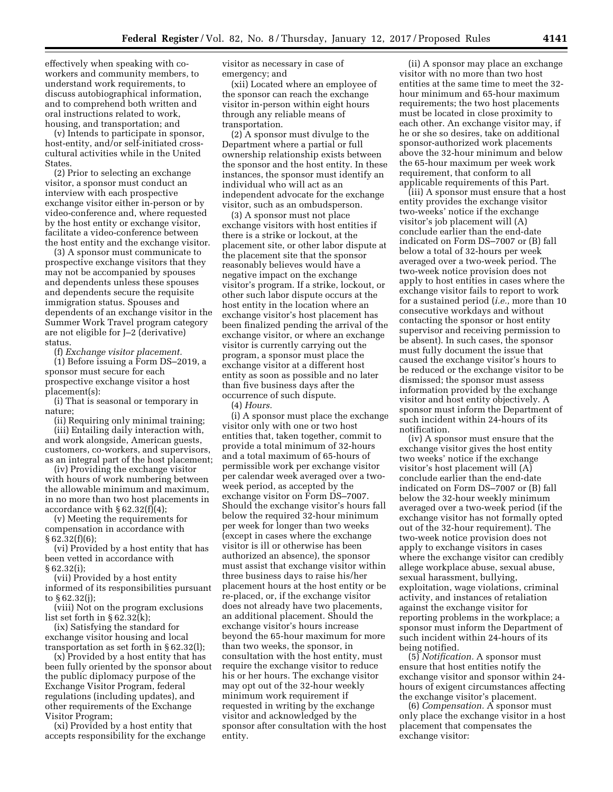effectively when speaking with coworkers and community members, to understand work requirements, to discuss autobiographical information, and to comprehend both written and oral instructions related to work, housing, and transportation; and

(v) Intends to participate in sponsor, host-entity, and/or self-initiated crosscultural activities while in the United States.

(2) Prior to selecting an exchange visitor, a sponsor must conduct an interview with each prospective exchange visitor either in-person or by video-conference and, where requested by the host entity or exchange visitor, facilitate a video-conference between the host entity and the exchange visitor.

(3) A sponsor must communicate to prospective exchange visitors that they may not be accompanied by spouses and dependents unless these spouses and dependents secure the requisite immigration status. Spouses and dependents of an exchange visitor in the Summer Work Travel program category are not eligible for J–2 (derivative) status.

(f) *Exchange visitor placement.* 

(1) Before issuing a Form DS–2019, a sponsor must secure for each prospective exchange visitor a host placement(s):

(i) That is seasonal or temporary in nature;

(ii) Requiring only minimal training; (iii) Entailing daily interaction with, and work alongside, American guests, customers, co-workers, and supervisors, as an integral part of the host placement;

(iv) Providing the exchange visitor with hours of work numbering between the allowable minimum and maximum, in no more than two host placements in accordance with § 62.32(f)(4);

(v) Meeting the requirements for compensation in accordance with § 62.32(f)(6);

(vi) Provided by a host entity that has been vetted in accordance with § 62.32(i);

(vii) Provided by a host entity informed of its responsibilities pursuant to § 62.32(j);

(viii) Not on the program exclusions list set forth in § 62.32(k);

(ix) Satisfying the standard for exchange visitor housing and local transportation as set forth in § 62.32(l);

(x) Provided by a host entity that has been fully oriented by the sponsor about the public diplomacy purpose of the Exchange Visitor Program, federal regulations (including updates), and other requirements of the Exchange Visitor Program;

(xi) Provided by a host entity that accepts responsibility for the exchange visitor as necessary in case of emergency; and

(xii) Located where an employee of the sponsor can reach the exchange visitor in-person within eight hours through any reliable means of transportation.

(2) A sponsor must divulge to the Department where a partial or full ownership relationship exists between the sponsor and the host entity. In these instances, the sponsor must identify an individual who will act as an independent advocate for the exchange visitor, such as an ombudsperson.

(3) A sponsor must not place exchange visitors with host entities if there is a strike or lockout, at the placement site, or other labor dispute at the placement site that the sponsor reasonably believes would have a negative impact on the exchange visitor's program. If a strike, lockout, or other such labor dispute occurs at the host entity in the location where an exchange visitor's host placement has been finalized pending the arrival of the exchange visitor, or where an exchange visitor is currently carrying out the program, a sponsor must place the exchange visitor at a different host entity as soon as possible and no later than five business days after the occurrence of such dispute.

(4) *Hours.* 

(i) A sponsor must place the exchange visitor only with one or two host entities that, taken together, commit to provide a total minimum of 32-hours and a total maximum of 65-hours of permissible work per exchange visitor per calendar week averaged over a twoweek period, as accepted by the exchange visitor on Form DS–7007. Should the exchange visitor's hours fall below the required 32-hour minimum per week for longer than two weeks (except in cases where the exchange visitor is ill or otherwise has been authorized an absence), the sponsor must assist that exchange visitor within three business days to raise his/her placement hours at the host entity or be re-placed, or, if the exchange visitor does not already have two placements, an additional placement. Should the exchange visitor's hours increase beyond the 65-hour maximum for more than two weeks, the sponsor, in consultation with the host entity, must require the exchange visitor to reduce his or her hours. The exchange visitor may opt out of the 32-hour weekly minimum work requirement if requested in writing by the exchange visitor and acknowledged by the sponsor after consultation with the host entity.

(ii) A sponsor may place an exchange visitor with no more than two host entities at the same time to meet the 32 hour minimum and 65-hour maximum requirements; the two host placements must be located in close proximity to each other. An exchange visitor may, if he or she so desires, take on additional sponsor-authorized work placements above the 32-hour minimum and below the 65-hour maximum per week work requirement, that conform to all applicable requirements of this Part.

(iii) A sponsor must ensure that a host entity provides the exchange visitor two-weeks' notice if the exchange visitor's job placement will (A) conclude earlier than the end-date indicated on Form DS–7007 or (B) fall below a total of 32-hours per week averaged over a two-week period. The two-week notice provision does not apply to host entities in cases where the exchange visitor fails to report to work for a sustained period (*i.e.,* more than 10 consecutive workdays and without contacting the sponsor or host entity supervisor and receiving permission to be absent). In such cases, the sponsor must fully document the issue that caused the exchange visitor's hours to be reduced or the exchange visitor to be dismissed; the sponsor must assess information provided by the exchange visitor and host entity objectively. A sponsor must inform the Department of such incident within 24-hours of its notification.

(iv) A sponsor must ensure that the exchange visitor gives the host entity two weeks' notice if the exchange visitor's host placement will (A) conclude earlier than the end-date indicated on Form DS–7007 or (B) fall below the 32-hour weekly minimum averaged over a two-week period (if the exchange visitor has not formally opted out of the 32-hour requirement). The two-week notice provision does not apply to exchange visitors in cases where the exchange visitor can credibly allege workplace abuse, sexual abuse, sexual harassment, bullying, exploitation, wage violations, criminal activity, and instances of retaliation against the exchange visitor for reporting problems in the workplace; a sponsor must inform the Department of such incident within 24-hours of its being notified.

(5) *Notification.* A sponsor must ensure that host entities notify the exchange visitor and sponsor within 24 hours of exigent circumstances affecting the exchange visitor's placement.

(6) *Compensation.* A sponsor must only place the exchange visitor in a host placement that compensates the exchange visitor: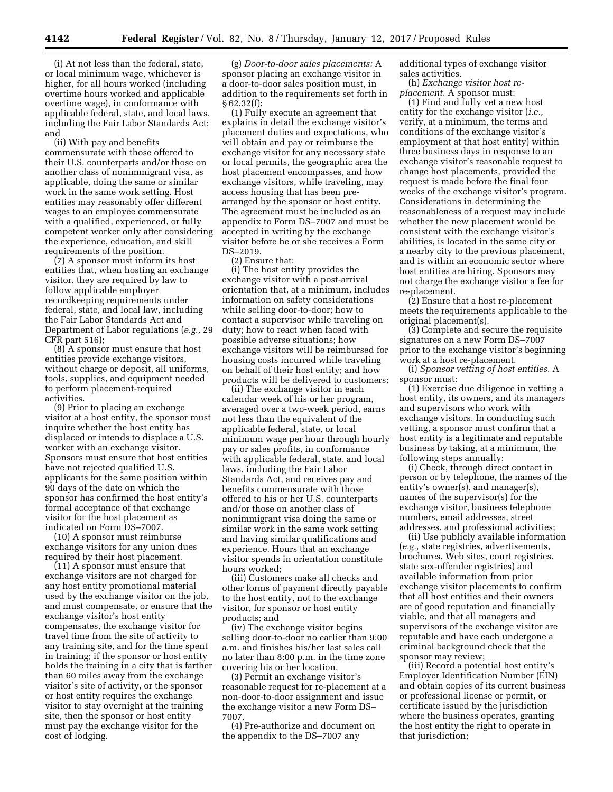(i) At not less than the federal, state, or local minimum wage, whichever is higher, for all hours worked (including overtime hours worked and applicable overtime wage), in conformance with applicable federal, state, and local laws, including the Fair Labor Standards Act; and

(ii) With pay and benefits commensurate with those offered to their U.S. counterparts and/or those on another class of nonimmigrant visa, as applicable, doing the same or similar work in the same work setting. Host entities may reasonably offer different wages to an employee commensurate with a qualified, experienced, or fully competent worker only after considering the experience, education, and skill requirements of the position.

(7) A sponsor must inform its host entities that, when hosting an exchange visitor, they are required by law to follow applicable employer recordkeeping requirements under federal, state, and local law, including the Fair Labor Standards Act and Department of Labor regulations (*e.g.,* 29 CFR part 516);

(8) A sponsor must ensure that host entities provide exchange visitors, without charge or deposit, all uniforms, tools, supplies, and equipment needed to perform placement-required activities.

(9) Prior to placing an exchange visitor at a host entity, the sponsor must inquire whether the host entity has displaced or intends to displace a U.S. worker with an exchange visitor. Sponsors must ensure that host entities have not rejected qualified U.S. applicants for the same position within 90 days of the date on which the sponsor has confirmed the host entity's formal acceptance of that exchange visitor for the host placement as indicated on Form DS–7007.

(10) A sponsor must reimburse exchange visitors for any union dues required by their host placement.

(11) A sponsor must ensure that exchange visitors are not charged for any host entity promotional material used by the exchange visitor on the job, and must compensate, or ensure that the exchange visitor's host entity compensates, the exchange visitor for travel time from the site of activity to any training site, and for the time spent in training; if the sponsor or host entity holds the training in a city that is farther than 60 miles away from the exchange visitor's site of activity, or the sponsor or host entity requires the exchange visitor to stay overnight at the training site, then the sponsor or host entity must pay the exchange visitor for the cost of lodging.

(g) *Door-to-door sales placements:* A sponsor placing an exchange visitor in a door-to-door sales position must, in addition to the requirements set forth in § 62.32(f):

(1) Fully execute an agreement that explains in detail the exchange visitor's placement duties and expectations, who will obtain and pay or reimburse the exchange visitor for any necessary state or local permits, the geographic area the host placement encompasses, and how exchange visitors, while traveling, may access housing that has been prearranged by the sponsor or host entity. The agreement must be included as an appendix to Form DS–7007 and must be accepted in writing by the exchange visitor before he or she receives a Form DS–2019.

(2) Ensure that:

(i) The host entity provides the exchange visitor with a post-arrival orientation that, at a minimum, includes information on safety considerations while selling door-to-door; how to contact a supervisor while traveling on duty; how to react when faced with possible adverse situations; how exchange visitors will be reimbursed for housing costs incurred while traveling on behalf of their host entity; and how products will be delivered to customers;

(ii) The exchange visitor in each calendar week of his or her program, averaged over a two-week period, earns not less than the equivalent of the applicable federal, state, or local minimum wage per hour through hourly pay or sales profits, in conformance with applicable federal, state, and local laws, including the Fair Labor Standards Act, and receives pay and benefits commensurate with those offered to his or her U.S. counterparts and/or those on another class of nonimmigrant visa doing the same or similar work in the same work setting and having similar qualifications and experience. Hours that an exchange visitor spends in orientation constitute hours worked;

(iii) Customers make all checks and other forms of payment directly payable to the host entity, not to the exchange visitor, for sponsor or host entity products; and

(iv) The exchange visitor begins selling door-to-door no earlier than 9:00 a.m. and finishes his/her last sales call no later than 8:00 p.m. in the time zone covering his or her location.

(3) Permit an exchange visitor's reasonable request for re-placement at a non-door-to-door assignment and issue the exchange visitor a new Form DS– 7007.

(4) Pre-authorize and document on the appendix to the DS–7007 any

additional types of exchange visitor sales activities.

(h) *Exchange visitor host replacement.* A sponsor must:

(1) Find and fully vet a new host entity for the exchange visitor (*i.e.,*  verify, at a minimum, the terms and conditions of the exchange visitor's employment at that host entity) within three business days in response to an exchange visitor's reasonable request to change host placements, provided the request is made before the final four weeks of the exchange visitor's program. Considerations in determining the reasonableness of a request may include whether the new placement would be consistent with the exchange visitor's abilities, is located in the same city or a nearby city to the previous placement, and is within an economic sector where host entities are hiring. Sponsors may not charge the exchange visitor a fee for re-placement.

(2) Ensure that a host re-placement meets the requirements applicable to the original placement(s).

(3) Complete and secure the requisite signatures on a new Form DS–7007 prior to the exchange visitor's beginning work at a host re-placement.

(i) *Sponsor vetting of host entities.* A sponsor must:

(1) Exercise due diligence in vetting a host entity, its owners, and its managers and supervisors who work with exchange visitors. In conducting such vetting, a sponsor must confirm that a host entity is a legitimate and reputable business by taking, at a minimum, the following steps annually:

(i) Check, through direct contact in person or by telephone, the names of the entity's owner(s), and manager(s), names of the supervisor(s) for the exchange visitor, business telephone numbers, email addresses, street addresses, and professional activities;

(ii) Use publicly available information (*e.g.,* state registries, advertisements, brochures, Web sites, court registries, state sex-offender registries) and available information from prior exchange visitor placements to confirm that all host entities and their owners are of good reputation and financially viable, and that all managers and supervisors of the exchange visitor are reputable and have each undergone a criminal background check that the sponsor may review;

(iii) Record a potential host entity's Employer Identification Number (EIN) and obtain copies of its current business or professional license or permit, or certificate issued by the jurisdiction where the business operates, granting the host entity the right to operate in that jurisdiction;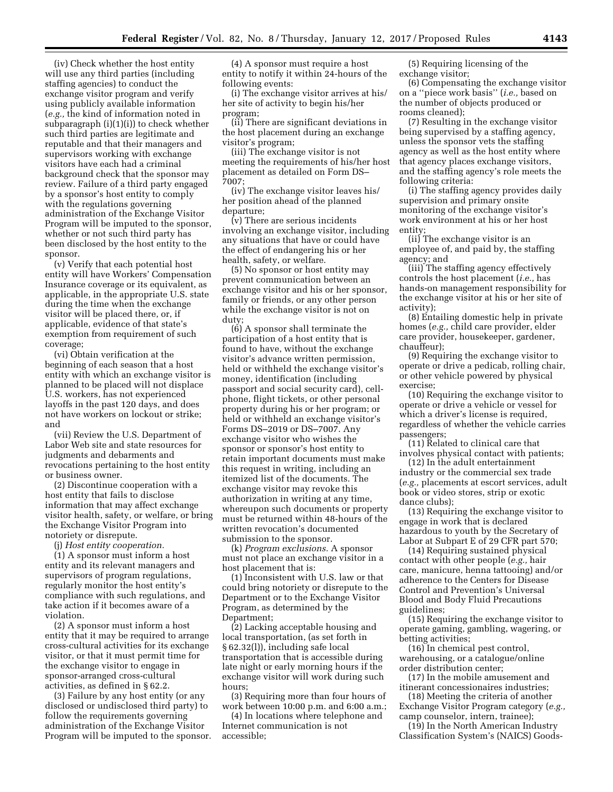(iv) Check whether the host entity will use any third parties (including staffing agencies) to conduct the exchange visitor program and verify using publicly available information (*e.g.,* the kind of information noted in subparagraph (i)(1)(i)) to check whether such third parties are legitimate and reputable and that their managers and supervisors working with exchange visitors have each had a criminal background check that the sponsor may review. Failure of a third party engaged by a sponsor's host entity to comply with the regulations governing administration of the Exchange Visitor Program will be imputed to the sponsor, whether or not such third party has been disclosed by the host entity to the sponsor.

(v) Verify that each potential host entity will have Workers' Compensation Insurance coverage or its equivalent, as applicable, in the appropriate U.S. state during the time when the exchange visitor will be placed there, or, if applicable, evidence of that state's exemption from requirement of such coverage;

(vi) Obtain verification at the beginning of each season that a host entity with which an exchange visitor is planned to be placed will not displace U.S. workers, has not experienced layoffs in the past 120 days, and does not have workers on lockout or strike; and

(vii) Review the U.S. Department of Labor Web site and state resources for judgments and debarments and revocations pertaining to the host entity or business owner.

(2) Discontinue cooperation with a host entity that fails to disclose information that may affect exchange visitor health, safety, or welfare, or bring the Exchange Visitor Program into notoriety or disrepute.

(j) *Host entity cooperation.* 

(1) A sponsor must inform a host entity and its relevant managers and supervisors of program regulations, regularly monitor the host entity's compliance with such regulations, and take action if it becomes aware of a violation.

(2) A sponsor must inform a host entity that it may be required to arrange cross-cultural activities for its exchange visitor, or that it must permit time for the exchange visitor to engage in sponsor-arranged cross-cultural activities, as defined in § 62.2.

(3) Failure by any host entity (or any disclosed or undisclosed third party) to follow the requirements governing administration of the Exchange Visitor Program will be imputed to the sponsor.

(4) A sponsor must require a host entity to notify it within 24-hours of the following events:

(i) The exchange visitor arrives at his/ her site of activity to begin his/her program;

(ii) There are significant deviations in the host placement during an exchange visitor's program;

(iii) The exchange visitor is not meeting the requirements of his/her host placement as detailed on Form DS– 7007;

(iv) The exchange visitor leaves his/ her position ahead of the planned departure;

(v) There are serious incidents involving an exchange visitor, including any situations that have or could have the effect of endangering his or her health, safety, or welfare.

(5) No sponsor or host entity may prevent communication between an exchange visitor and his or her sponsor, family or friends, or any other person while the exchange visitor is not on duty;

(6) A sponsor shall terminate the participation of a host entity that is found to have, without the exchange visitor's advance written permission, held or withheld the exchange visitor's money, identification (including passport and social security card), cellphone, flight tickets, or other personal property during his or her program; or held or withheld an exchange visitor's Forms DS–2019 or DS–7007. Any exchange visitor who wishes the sponsor or sponsor's host entity to retain important documents must make this request in writing, including an itemized list of the documents. The exchange visitor may revoke this authorization in writing at any time, whereupon such documents or property must be returned within 48-hours of the written revocation's documented submission to the sponsor.

(k) *Program exclusions.* A sponsor must not place an exchange visitor in a host placement that is:

(1) Inconsistent with U.S. law or that could bring notoriety or disrepute to the Department or to the Exchange Visitor Program, as determined by the Department;

(2) Lacking acceptable housing and local transportation, (as set forth in § 62.32(l)), including safe local transportation that is accessible during late night or early morning hours if the exchange visitor will work during such hours;

(3) Requiring more than four hours of work between 10:00 p.m. and 6:00 a.m.;

(4) In locations where telephone and Internet communication is not accessible;

(5) Requiring licensing of the exchange visitor;

(6) Compensating the exchange visitor on a ''piece work basis'' (*i.e.,* based on the number of objects produced or rooms cleaned);

(7) Resulting in the exchange visitor being supervised by a staffing agency, unless the sponsor vets the staffing agency as well as the host entity where that agency places exchange visitors, and the staffing agency's role meets the following criteria:

(i) The staffing agency provides daily supervision and primary onsite monitoring of the exchange visitor's work environment at his or her host entity;

(ii) The exchange visitor is an employee of, and paid by, the staffing agency; and

(iii) The staffing agency effectively controls the host placement (*i.e.,* has hands-on management responsibility for the exchange visitor at his or her site of activity);

(8) Entailing domestic help in private homes (*e.g.,* child care provider, elder care provider, housekeeper, gardener, chauffeur);

(9) Requiring the exchange visitor to operate or drive a pedicab, rolling chair, or other vehicle powered by physical exercise;

(10) Requiring the exchange visitor to operate or drive a vehicle or vessel for which a driver's license is required, regardless of whether the vehicle carries passengers;

(11) Related to clinical care that involves physical contact with patients;

(12) In the adult entertainment industry or the commercial sex trade (*e.g.,* placements at escort services, adult book or video stores, strip or exotic dance clubs);

(13) Requiring the exchange visitor to engage in work that is declared hazardous to youth by the Secretary of Labor at Subpart E of 29 CFR part 570;

(14) Requiring sustained physical contact with other people (*e.g.,* hair care, manicure, henna tattooing) and/or adherence to the Centers for Disease Control and Prevention's Universal Blood and Body Fluid Precautions guidelines;

(15) Requiring the exchange visitor to operate gaming, gambling, wagering, or betting activities;

(16) In chemical pest control, warehousing, or a catalogue/online order distribution center;

(17) In the mobile amusement and itinerant concessionaires industries;

(18) Meeting the criteria of another Exchange Visitor Program category (*e.g.,*  camp counselor, intern, trainee);

(19) In the North American Industry Classification System's (NAICS) Goods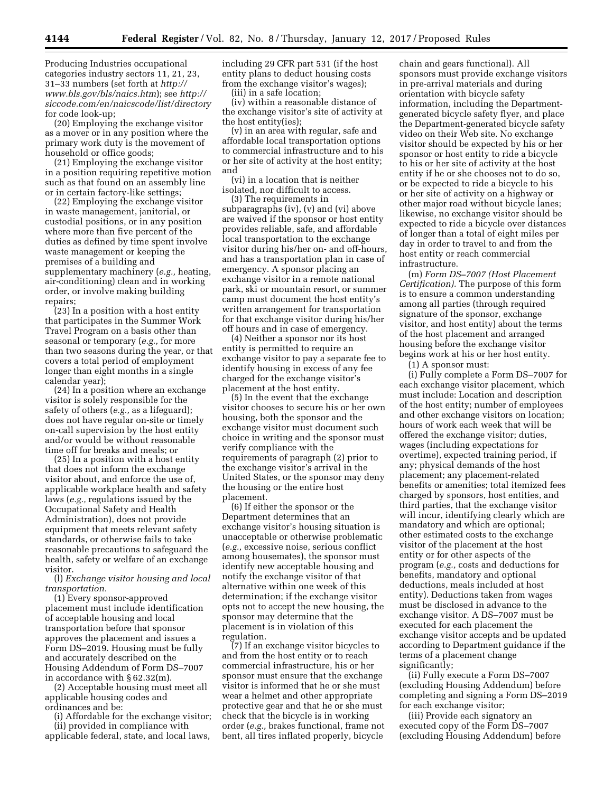Producing Industries occupational categories industry sectors 11, 21, 23, 31–33 numbers (set forth at *[http://](http://www.bls.gov/bls/naics.htm) [www.bls.gov/bls/naics.htm](http://www.bls.gov/bls/naics.htm)*); see *[http://](http://siccode.com/en/naicscode/list/directory) [siccode.com/en/naicscode/list/directory](http://siccode.com/en/naicscode/list/directory)*  for code look-up;

(20) Employing the exchange visitor as a mover or in any position where the primary work duty is the movement of household or office goods;

(21) Employing the exchange visitor in a position requiring repetitive motion such as that found on an assembly line or in certain factory-like settings;

(22) Employing the exchange visitor in waste management, janitorial, or custodial positions, or in any position where more than five percent of the duties as defined by time spent involve waste management or keeping the premises of a building and supplementary machinery (*e.g.,* heating, air-conditioning) clean and in working order, or involve making building repairs;

(23) In a position with a host entity that participates in the Summer Work Travel Program on a basis other than seasonal or temporary (*e.g.,* for more than two seasons during the year, or that covers a total period of employment longer than eight months in a single calendar year);

(24) In a position where an exchange visitor is solely responsible for the safety of others (*e.g.,* as a lifeguard); does not have regular on-site or timely on-call supervision by the host entity and/or would be without reasonable time off for breaks and meals; or

(25) In a position with a host entity that does not inform the exchange visitor about, and enforce the use of, applicable workplace health and safety laws (*e.g.,* regulations issued by the Occupational Safety and Health Administration), does not provide equipment that meets relevant safety standards, or otherwise fails to take reasonable precautions to safeguard the health, safety or welfare of an exchange visitor.

(l) *Exchange visitor housing and local transportation.* 

(1) Every sponsor-approved placement must include identification of acceptable housing and local transportation before that sponsor approves the placement and issues a Form DS–2019. Housing must be fully and accurately described on the Housing Addendum of Form DS–7007 in accordance with § 62.32(m).

(2) Acceptable housing must meet all applicable housing codes and ordinances and be:

(i) Affordable for the exchange visitor; (ii) provided in compliance with

applicable federal, state, and local laws,

including 29 CFR part 531 (if the host entity plans to deduct housing costs from the exchange visitor's wages);

(iii) in a safe location;

(iv) within a reasonable distance of the exchange visitor's site of activity at the host entity(ies);

(v) in an area with regular, safe and affordable local transportation options to commercial infrastructure and to his or her site of activity at the host entity; and

(vi) in a location that is neither isolated, nor difficult to access.

(3) The requirements in subparagraphs (iv), (v) and (vi) above are waived if the sponsor or host entity provides reliable, safe, and affordable local transportation to the exchange visitor during his/her on- and off-hours, and has a transportation plan in case of emergency. A sponsor placing an exchange visitor in a remote national park, ski or mountain resort, or summer camp must document the host entity's written arrangement for transportation for that exchange visitor during his/her off hours and in case of emergency.

(4) Neither a sponsor nor its host entity is permitted to require an exchange visitor to pay a separate fee to identify housing in excess of any fee charged for the exchange visitor's placement at the host entity.

(5) In the event that the exchange visitor chooses to secure his or her own housing, both the sponsor and the exchange visitor must document such choice in writing and the sponsor must verify compliance with the requirements of paragraph (2) prior to the exchange visitor's arrival in the United States, or the sponsor may deny the housing or the entire host placement.

(6) If either the sponsor or the Department determines that an exchange visitor's housing situation is unacceptable or otherwise problematic (*e.g.,* excessive noise, serious conflict among housemates), the sponsor must identify new acceptable housing and notify the exchange visitor of that alternative within one week of this determination; if the exchange visitor opts not to accept the new housing, the sponsor may determine that the placement is in violation of this regulation.

(7) If an exchange visitor bicycles to and from the host entity or to reach commercial infrastructure, his or her sponsor must ensure that the exchange visitor is informed that he or she must wear a helmet and other appropriate protective gear and that he or she must check that the bicycle is in working order (*e.g.,* brakes functional, frame not bent, all tires inflated properly, bicycle chain and gears functional). All sponsors must provide exchange visitors in pre-arrival materials and during orientation with bicycle safety information, including the Departmentgenerated bicycle safety flyer, and place the Department-generated bicycle safety video on their Web site. No exchange visitor should be expected by his or her sponsor or host entity to ride a bicycle to his or her site of activity at the host entity if he or she chooses not to do so, or be expected to ride a bicycle to his or her site of activity on a highway or other major road without bicycle lanes; likewise, no exchange visitor should be expected to ride a bicycle over distances of longer than a total of eight miles per day in order to travel to and from the host entity or reach commercial infrastructure.

(m) *Form DS–7007 (Host Placement Certification).* The purpose of this form is to ensure a common understanding among all parties (through required signature of the sponsor, exchange visitor, and host entity) about the terms of the host placement and arranged housing before the exchange visitor begins work at his or her host entity.

(1) A sponsor must:

(i) Fully complete a Form DS–7007 for each exchange visitor placement, which must include: Location and description of the host entity; number of employees and other exchange visitors on location; hours of work each week that will be offered the exchange visitor; duties, wages (including expectations for overtime), expected training period, if any; physical demands of the host placement; any placement-related benefits or amenities; total itemized fees charged by sponsors, host entities, and third parties, that the exchange visitor will incur, identifying clearly which are mandatory and which are optional; other estimated costs to the exchange visitor of the placement at the host entity or for other aspects of the program (*e.g.,* costs and deductions for benefits, mandatory and optional deductions, meals included at host entity). Deductions taken from wages must be disclosed in advance to the exchange visitor. A DS–7007 must be executed for each placement the exchange visitor accepts and be updated according to Department guidance if the terms of a placement change significantly;

(ii) Fully execute a Form DS–7007 (excluding Housing Addendum) before completing and signing a Form DS–2019 for each exchange visitor;

(iii) Provide each signatory an executed copy of the Form DS–7007 (excluding Housing Addendum) before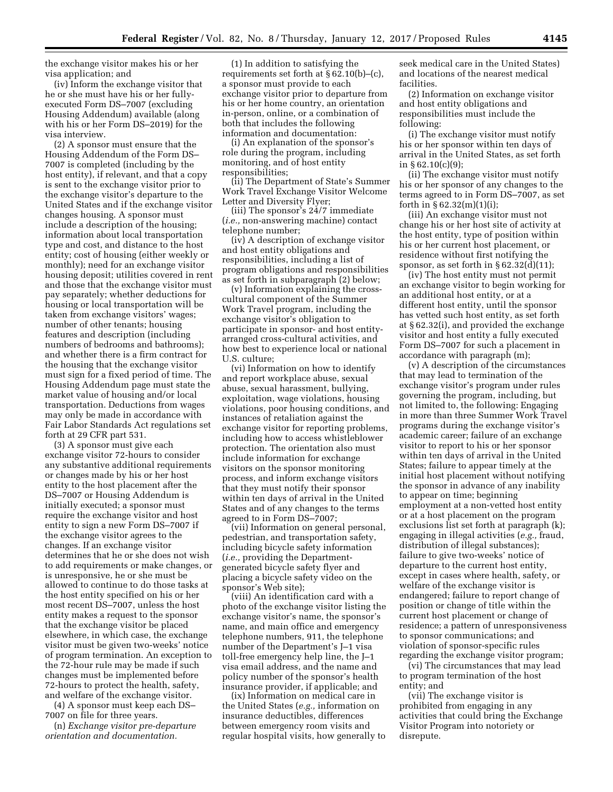the exchange visitor makes his or her visa application; and

(iv) Inform the exchange visitor that he or she must have his or her fullyexecuted Form DS–7007 (excluding Housing Addendum) available (along with his or her Form DS–2019) for the visa interview.

(2) A sponsor must ensure that the Housing Addendum of the Form DS– 7007 is completed (including by the host entity), if relevant, and that a copy is sent to the exchange visitor prior to the exchange visitor's departure to the United States and if the exchange visitor changes housing. A sponsor must include a description of the housing; information about local transportation type and cost, and distance to the host entity; cost of housing (either weekly or monthly); need for an exchange visitor housing deposit; utilities covered in rent and those that the exchange visitor must pay separately; whether deductions for housing or local transportation will be taken from exchange visitors' wages; number of other tenants; housing features and description (including numbers of bedrooms and bathrooms); and whether there is a firm contract for the housing that the exchange visitor must sign for a fixed period of time. The Housing Addendum page must state the market value of housing and/or local transportation. Deductions from wages may only be made in accordance with Fair Labor Standards Act regulations set forth at 29 CFR part 531.

(3) A sponsor must give each exchange visitor 72-hours to consider any substantive additional requirements or changes made by his or her host entity to the host placement after the DS–7007 or Housing Addendum is initially executed; a sponsor must require the exchange visitor and host entity to sign a new Form DS–7007 if the exchange visitor agrees to the changes. If an exchange visitor determines that he or she does not wish to add requirements or make changes, or is unresponsive, he or she must be allowed to continue to do those tasks at the host entity specified on his or her most recent DS–7007, unless the host entity makes a request to the sponsor that the exchange visitor be placed elsewhere, in which case, the exchange visitor must be given two-weeks' notice of program termination. An exception to the 72-hour rule may be made if such changes must be implemented before 72-hours to protect the health, safety, and welfare of the exchange visitor.

(4) A sponsor must keep each DS– 7007 on file for three years.

(n) *Exchange visitor pre-departure orientation and documentation.* 

(1) In addition to satisfying the requirements set forth at § 62.10(b)–(c), a sponsor must provide to each exchange visitor prior to departure from his or her home country, an orientation in-person, online, or a combination of both that includes the following information and documentation:

(i) An explanation of the sponsor's role during the program, including monitoring, and of host entity responsibilities;

(ii) The Department of State's Summer Work Travel Exchange Visitor Welcome Letter and Diversity Flyer;

(iii) The sponsor's 24/7 immediate (*i.e.,* non-answering machine) contact telephone number;

(iv) A description of exchange visitor and host entity obligations and responsibilities, including a list of program obligations and responsibilities as set forth in subparagraph (2) below;

(v) Information explaining the crosscultural component of the Summer Work Travel program, including the exchange visitor's obligation to participate in sponsor- and host entityarranged cross-cultural activities, and how best to experience local or national U.S. culture;

(vi) Information on how to identify and report workplace abuse, sexual abuse, sexual harassment, bullying, exploitation, wage violations, housing violations, poor housing conditions, and instances of retaliation against the exchange visitor for reporting problems, including how to access whistleblower protection. The orientation also must include information for exchange visitors on the sponsor monitoring process, and inform exchange visitors that they must notify their sponsor within ten days of arrival in the United States and of any changes to the terms agreed to in Form DS–7007;

(vii) Information on general personal, pedestrian, and transportation safety, including bicycle safety information (*i.e.,* providing the Departmentgenerated bicycle safety flyer and placing a bicycle safety video on the sponsor's Web site);

(viii) An identification card with a photo of the exchange visitor listing the exchange visitor's name, the sponsor's name, and main office and emergency telephone numbers, 911, the telephone number of the Department's J–1 visa toll-free emergency help line, the J–1 visa email address, and the name and policy number of the sponsor's health insurance provider, if applicable; and

(ix) Information on medical care in the United States (*e.g.,* information on insurance deductibles, differences between emergency room visits and regular hospital visits, how generally to seek medical care in the United States) and locations of the nearest medical facilities.

(2) Information on exchange visitor and host entity obligations and responsibilities must include the following:

(i) The exchange visitor must notify his or her sponsor within ten days of arrival in the United States, as set forth in  $\S 62.10(c)(9);$ 

(ii) The exchange visitor must notify his or her sponsor of any changes to the terms agreed to in Form DS–7007, as set forth in  $\S 62.32(m)(1)(i);$ 

(iii) An exchange visitor must not change his or her host site of activity at the host entity, type of position within his or her current host placement, or residence without first notifying the sponsor, as set forth in  $\S 62.32(d)(11)$ ;

(iv) The host entity must not permit an exchange visitor to begin working for an additional host entity, or at a different host entity, until the sponsor has vetted such host entity, as set forth at § 62.32(i), and provided the exchange visitor and host entity a fully executed Form DS–7007 for such a placement in accordance with paragraph (m);

(v) A description of the circumstances that may lead to termination of the exchange visitor's program under rules governing the program, including, but not limited to, the following: Engaging in more than three Summer Work Travel programs during the exchange visitor's academic career; failure of an exchange visitor to report to his or her sponsor within ten days of arrival in the United States; failure to appear timely at the initial host placement without notifying the sponsor in advance of any inability to appear on time; beginning employment at a non-vetted host entity or at a host placement on the program exclusions list set forth at paragraph (k); engaging in illegal activities (*e.g.,* fraud, distribution of illegal substances); failure to give two-weeks' notice of departure to the current host entity, except in cases where health, safety, or welfare of the exchange visitor is endangered; failure to report change of position or change of title within the current host placement or change of residence; a pattern of unresponsiveness to sponsor communications; and violation of sponsor-specific rules regarding the exchange visitor program;

(vi) The circumstances that may lead to program termination of the host entity; and

(vii) The exchange visitor is prohibited from engaging in any activities that could bring the Exchange Visitor Program into notoriety or disrepute.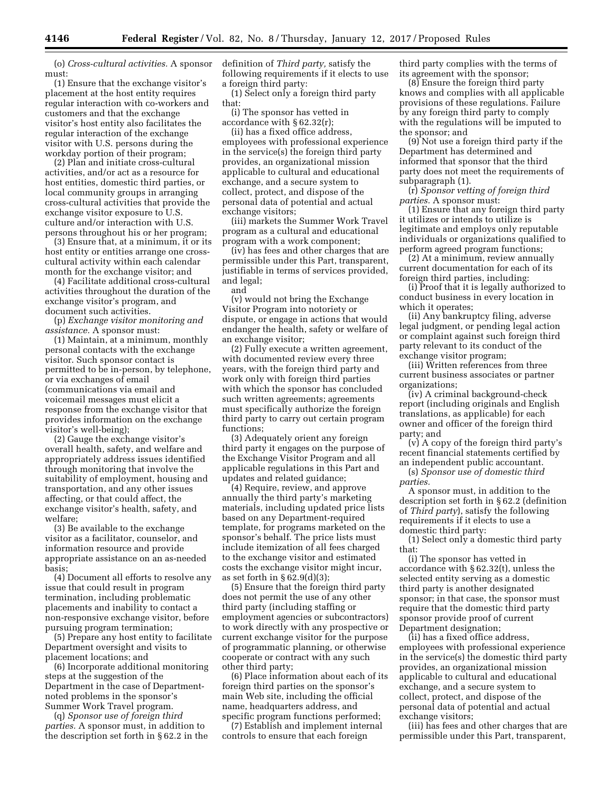(o) *Cross-cultural activities.* A sponsor must:

(1) Ensure that the exchange visitor's placement at the host entity requires regular interaction with co-workers and customers and that the exchange visitor's host entity also facilitates the regular interaction of the exchange visitor with U.S. persons during the workday portion of their program;

(2) Plan and initiate cross-cultural activities, and/or act as a resource for host entities, domestic third parties, or local community groups in arranging cross-cultural activities that provide the exchange visitor exposure to U.S. culture and/or interaction with U.S. persons throughout his or her program;

(3) Ensure that, at a minimum, it or its host entity or entities arrange one crosscultural activity within each calendar month for the exchange visitor; and

(4) Facilitate additional cross-cultural activities throughout the duration of the exchange visitor's program, and document such activities.

(p) *Exchange visitor monitoring and assistance.* A sponsor must:

(1) Maintain, at a minimum, monthly personal contacts with the exchange visitor. Such sponsor contact is permitted to be in-person, by telephone, or via exchanges of email (communications via email and voicemail messages must elicit a response from the exchange visitor that provides information on the exchange visitor's well-being);

(2) Gauge the exchange visitor's overall health, safety, and welfare and appropriately address issues identified through monitoring that involve the suitability of employment, housing and transportation, and any other issues affecting, or that could affect, the exchange visitor's health, safety, and welfare;

(3) Be available to the exchange visitor as a facilitator, counselor, and information resource and provide appropriate assistance on an as-needed basis;

(4) Document all efforts to resolve any issue that could result in program termination, including problematic placements and inability to contact a non-responsive exchange visitor, before pursuing program termination;

(5) Prepare any host entity to facilitate Department oversight and visits to placement locations; and

(6) Incorporate additional monitoring steps at the suggestion of the Department in the case of Departmentnoted problems in the sponsor's Summer Work Travel program.

(q) *Sponsor use of foreign third parties.* A sponsor must, in addition to the description set forth in § 62.2 in the definition of *Third party,* satisfy the following requirements if it elects to use a foreign third party:

(1) Select only a foreign third party that:

(i) The sponsor has vetted in accordance with § 62.32(r);

(ii) has a fixed office address, employees with professional experience in the service(s) the foreign third party provides, an organizational mission applicable to cultural and educational exchange, and a secure system to collect, protect, and dispose of the personal data of potential and actual exchange visitors;

(iii) markets the Summer Work Travel program as a cultural and educational program with a work component;

(iv) has fees and other charges that are permissible under this Part, transparent, justifiable in terms of services provided, and legal; and

(v) would not bring the Exchange Visitor Program into notoriety or dispute, or engage in actions that would endanger the health, safety or welfare of an exchange visitor;

(2) Fully execute a written agreement, with documented review every three years, with the foreign third party and work only with foreign third parties with which the sponsor has concluded such written agreements; agreements must specifically authorize the foreign third party to carry out certain program functions;

(3) Adequately orient any foreign third party it engages on the purpose of the Exchange Visitor Program and all applicable regulations in this Part and updates and related guidance;

(4) Require, review, and approve annually the third party's marketing materials, including updated price lists based on any Department-required template, for programs marketed on the sponsor's behalf. The price lists must include itemization of all fees charged to the exchange visitor and estimated costs the exchange visitor might incur, as set forth in  $\S 62.9(d)(3)$ ;

(5) Ensure that the foreign third party does not permit the use of any other third party (including staffing or employment agencies or subcontractors) to work directly with any prospective or current exchange visitor for the purpose of programmatic planning, or otherwise cooperate or contract with any such other third party;

(6) Place information about each of its foreign third parties on the sponsor's main Web site, including the official name, headquarters address, and specific program functions performed;

(7) Establish and implement internal controls to ensure that each foreign

third party complies with the terms of its agreement with the sponsor;

(8) Ensure the foreign third party knows and complies with all applicable provisions of these regulations. Failure by any foreign third party to comply with the regulations will be imputed to the sponsor; and

(9) Not use a foreign third party if the Department has determined and informed that sponsor that the third party does not meet the requirements of subparagraph (1).

(r) *Sponsor vetting of foreign third parties.* A sponsor must:

(1) Ensure that any foreign third party it utilizes or intends to utilize is legitimate and employs only reputable individuals or organizations qualified to perform agreed program functions;

(2) At a minimum, review annually current documentation for each of its foreign third parties, including:

(i) Proof that it is legally authorized to conduct business in every location in which it operates;

(ii) Any bankruptcy filing, adverse legal judgment, or pending legal action or complaint against such foreign third party relevant to its conduct of the exchange visitor program;

(iii) Written references from three current business associates or partner organizations;

(iv) A criminal background-check report (including originals and English translations, as applicable) for each owner and officer of the foreign third party; and

(v) A copy of the foreign third party's recent financial statements certified by an independent public accountant.

(s) *Sponsor use of domestic third parties.* 

A sponsor must, in addition to the description set forth in § 62.2 (definition of *Third party*), satisfy the following requirements if it elects to use a domestic third party:

(1) Select only a domestic third party that:

(i) The sponsor has vetted in accordance with § 62.32(t), unless the selected entity serving as a domestic third party is another designated sponsor; in that case, the sponsor must require that the domestic third party sponsor provide proof of current Department designation;

(ii) has a fixed office address, employees with professional experience in the service(s) the domestic third party provides, an organizational mission applicable to cultural and educational exchange, and a secure system to collect, protect, and dispose of the personal data of potential and actual exchange visitors;

(iii) has fees and other charges that are permissible under this Part, transparent,